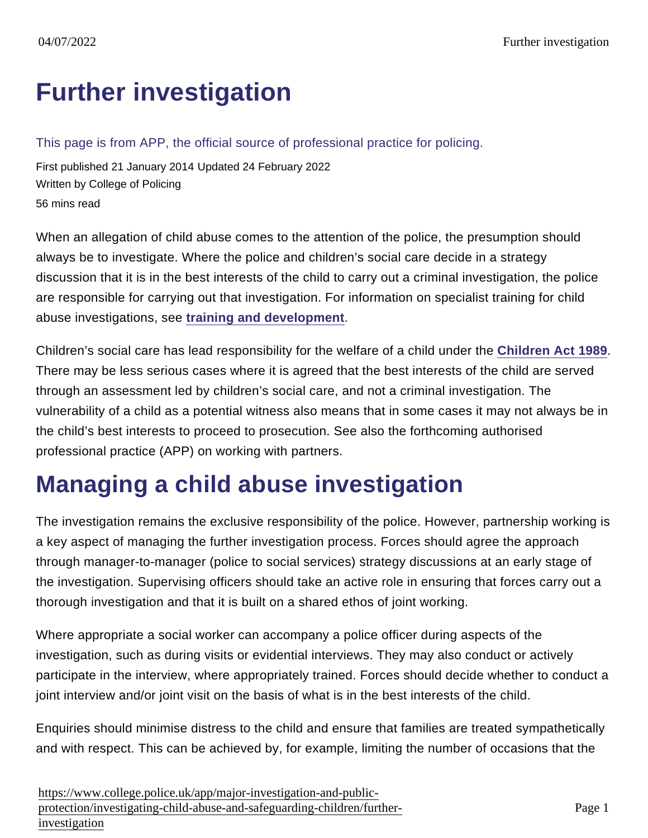# [Further investigation](https://www.college.police.uk/app/major-investigation-and-public-protection/investigating-child-abuse-and-safeguarding-children/further-investigation)

This page is from APP, the official source of professional practice for policing.

First published 21 January 2014 Updated 24 February 2022 Written by College of Policing 56 mins read

When an allegation of child abuse comes to the attention of the police, the presumption should always be to investigate. Where the police and children's social care decide in a strategy discussion that it is in the best interests of the child to carry out a criminal investigation, the police are responsible for carrying out that investigation. For information on specialist training for child abuse investigations, see [training and development](https://www.app.college.police.uk/app-content/major-investigation-and-public-protection/child-abuse/police-response/staffing/#training-and-development) .

Children's social care has lead responsibility for the welfare of a child under the [Children Act 1989](http://www.legislation.gov.uk/ukpga/1989/41/contents) . There may be less serious cases where it is agreed that the best interests of the child are served through an assessment led by children's social care, and not a criminal investigation. The vulnerability of a child as a potential witness also means that in some cases it may not always be in the child's best interests to proceed to prosecution. See also the forthcoming authorised professional practice (APP) on working with partners.

# Managing a child abuse investigation

The investigation remains the exclusive responsibility of the police. However, partnership working is a key aspect of managing the further investigation process. Forces should agree the approach through manager-to-manager (police to social services) strategy discussions at an early stage of the investigation. Supervising officers should take an active role in ensuring that forces carry out a thorough investigation and that it is built on a shared ethos of joint working.

Where appropriate a social worker can accompany a police officer during aspects of the investigation, such as during visits or evidential interviews. They may also conduct or actively participate in the interview, where appropriately trained. Forces should decide whether to conduct a joint interview and/or joint visit on the basis of what is in the best interests of the child.

Enquiries should minimise distress to the child and ensure that families are treated sympathetically and with respect. This can be achieved by, for example, limiting the number of occasions that the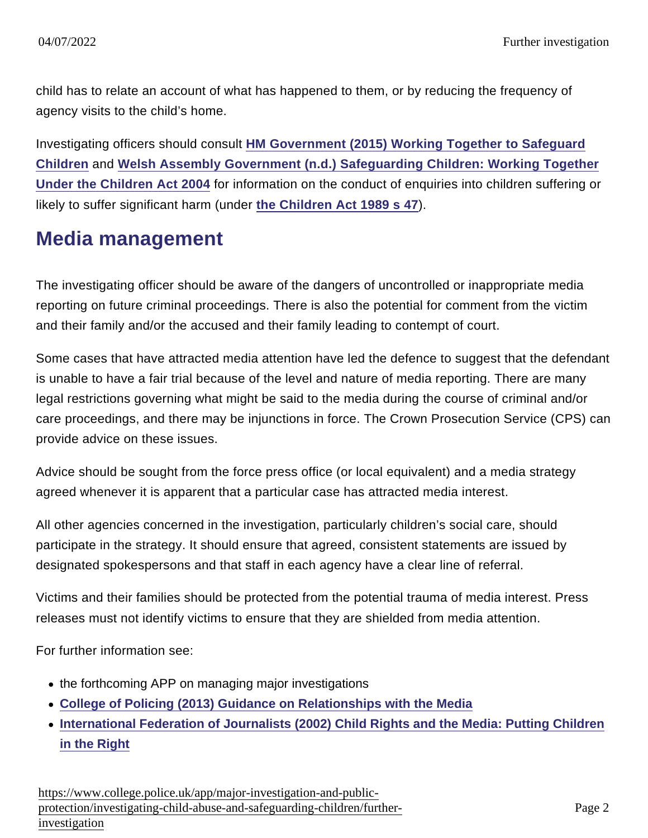child has to relate an account of what has happened to them, or by reducing the frequency of agency visits to the child's home.

Investigating officers should consult [HM Government \(2015\) Working Together to Safeguard](https://library.college.police.uk/docs/Working-Together-to-Safeguard-Children-2015.pdf) [Children](https://library.college.police.uk/docs/Working-Together-to-Safeguard-Children-2015.pdf) and [Welsh Assembly Government \(n.d.\) Safeguarding Children: Working Together](http://wales.gov.uk/docs/dhss/publications/091126safeguardingchildrenen.pdf) [Under the Children Act 2004](http://wales.gov.uk/docs/dhss/publications/091126safeguardingchildrenen.pdf) for information on the conduct of enquiries into children suffering or likely to suffer significant harm (under [the Children Act 1989 s 47](http://www.legislation.gov.uk/ukpga/1989/41/section/47) ).

#### Media management

The investigating officer should be aware of the dangers of uncontrolled or inappropriate media reporting on future criminal proceedings. There is also the potential for comment from the victim and their family and/or the accused and their family leading to contempt of court.

Some cases that have attracted media attention have led the defence to suggest that the defendant is unable to have a fair trial because of the level and nature of media reporting. There are many legal restrictions governing what might be said to the media during the course of criminal and/or care proceedings, and there may be injunctions in force. The Crown Prosecution Service (CPS) can provide advice on these issues.

Advice should be sought from the force press office (or local equivalent) and a media strategy agreed whenever it is apparent that a particular case has attracted media interest.

All other agencies concerned in the investigation, particularly children's social care, should participate in the strategy. It should ensure that agreed, consistent statements are issued by designated spokespersons and that staff in each agency have a clear line of referral.

Victims and their families should be protected from the potential trauma of media interest. Press releases must not identify victims to ensure that they are shielded from media attention.

For further information see:

- the forthcoming APP on managing major investigations
- [College of Policing \(2013\) Guidance on Relationships with the Media](https://library.college.police.uk/docs/college-of-policing/Media-Relationships-Guidance-2013.pdf)
- [International Federation of Journalists \(2002\) Child Rights and the Media: Putting Children](http://www.ifj.org/assets/docs/247/254/cf73bf7-c75e9fe.pdf) [in the Right](http://www.ifj.org/assets/docs/247/254/cf73bf7-c75e9fe.pdf)

[https://www.college.police.uk/app/major-investigation-and-pu](https://www.college.police.uk/app/major-investigation-and-public-protection/investigating-child-abuse-and-safeguarding-children/further-investigation)blic[protection/investigating-child-abuse-and-safeguarding-children/fu](https://www.college.police.uk/app/major-investigation-and-public-protection/investigating-child-abuse-and-safeguarding-children/further-investigation)rther[investigation](https://www.college.police.uk/app/major-investigation-and-public-protection/investigating-child-abuse-and-safeguarding-children/further-investigation)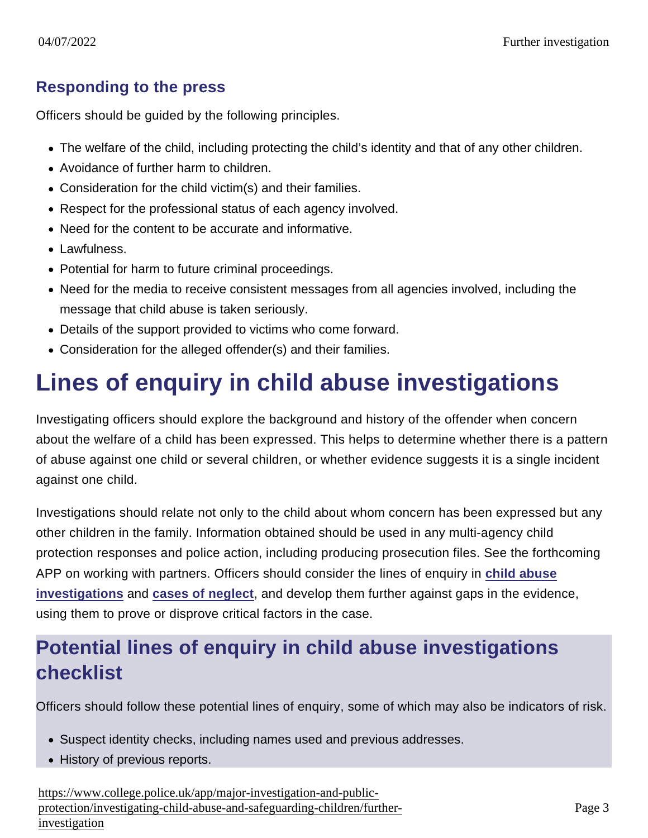#### Responding to the press

Officers should be guided by the following principles.

- The welfare of the child, including protecting the child's identity and that of any other children.
- Avoidance of further harm to children.
- Consideration for the child victim(s) and their families.
- Respect for the professional status of each agency involved.
- Need for the content to be accurate and informative.
- Lawfulness.
- Potential for harm to future criminal proceedings.
- Need for the media to receive consistent messages from all agencies involved, including the message that child abuse is taken seriously.
- Details of the support provided to victims who come forward.
- Consideration for the alleged offender(s) and their families.

# Lines of enquiry in child abuse investigations

Investigating officers should explore the background and history of the offender when concern about the welfare of a child has been expressed. This helps to determine whether there is a pattern of abuse against one child or several children, or whether evidence suggests it is a single incident against one child.

Investigations should relate not only to the child about whom concern has been expressed but any other children in the family. Information obtained should be used in any multi-agency child protection responses and police action, including producing prosecution files. See the forthcoming APP on working with partners. Officers should consider the lines of enquiry in [child abuse](https://www.app.college.police.uk/app-content/major-investigation-and-public-protection/child-abuse/police-response/staffing/#child-abuse-investigation-units) [investigations](https://www.app.college.police.uk/app-content/major-investigation-and-public-protection/child-abuse/police-response/staffing/#child-abuse-investigation-units) and [cases of neglect](https://www.app.college.police.uk/app-content/major-investigation-and-public-protection/child-abuse/further-investigation/#potential-lines-of-enquiry-in-cases-of-neglect-checklist) , and develop them further against gaps in the evidence, using them to prove or disprove critical factors in the case.

#### Potential lines of enquiry in child abuse investigations checklist

Officers should follow these potential lines of enquiry, some of which may also be indicators of risk.

- Suspect identity checks, including names used and previous addresses.
- History of previous reports.

[https://www.college.police.uk/app/major-investigation-and-pu](https://www.college.police.uk/app/major-investigation-and-public-protection/investigating-child-abuse-and-safeguarding-children/further-investigation)blic[protection/investigating-child-abuse-and-safeguarding-children/fu](https://www.college.police.uk/app/major-investigation-and-public-protection/investigating-child-abuse-and-safeguarding-children/further-investigation)rther[investigation](https://www.college.police.uk/app/major-investigation-and-public-protection/investigating-child-abuse-and-safeguarding-children/further-investigation)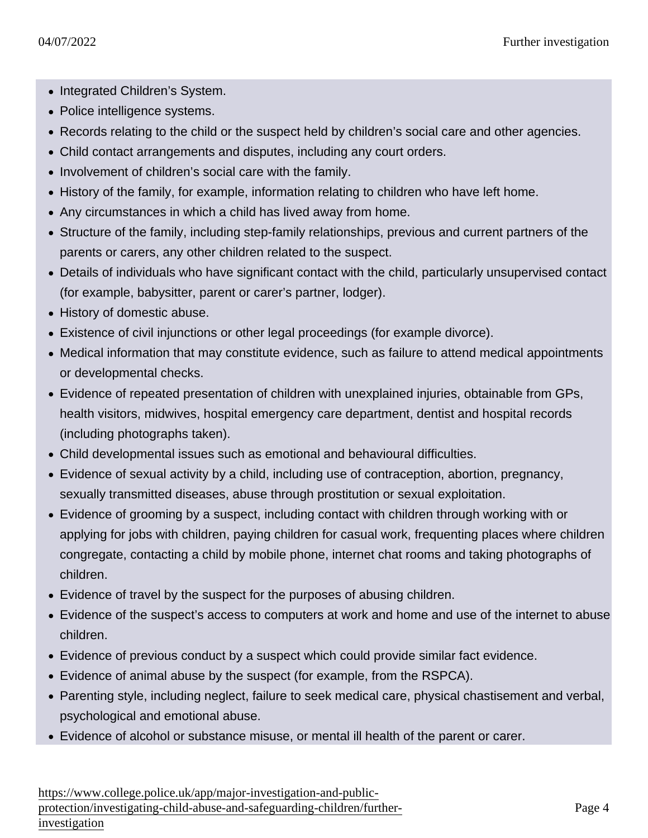- Integrated Children's System.
- Police intelligence systems.
- Records relating to the child or the suspect held by children's social care and other agencies.
- Child contact arrangements and disputes, including any court orders.
- Involvement of children's social care with the family.
- History of the family, for example, information relating to children who have left home.
- Any circumstances in which a child has lived away from home.
- Structure of the family, including step-family relationships, previous and current partners of the parents or carers, any other children related to the suspect.
- Details of individuals who have significant contact with the child, particularly unsupervised contact (for example, babysitter, parent or carer's partner, lodger).
- History of domestic abuse.
- Existence of civil injunctions or other legal proceedings (for example divorce).
- Medical information that may constitute evidence, such as failure to attend medical appointments or developmental checks.
- Evidence of repeated presentation of children with unexplained injuries, obtainable from GPs, health visitors, midwives, hospital emergency care department, dentist and hospital records (including photographs taken).
- Child developmental issues such as emotional and behavioural difficulties.
- Evidence of sexual activity by a child, including use of contraception, abortion, pregnancy, sexually transmitted diseases, abuse through prostitution or sexual exploitation.
- Evidence of grooming by a suspect, including contact with children through working with or applying for jobs with children, paying children for casual work, frequenting places where children congregate, contacting a child by mobile phone, internet chat rooms and taking photographs of children.
- Evidence of travel by the suspect for the purposes of abusing children.
- Evidence of the suspect's access to computers at work and home and use of the internet to abuse children.
- Evidence of previous conduct by a suspect which could provide similar fact evidence.
- Evidence of animal abuse by the suspect (for example, from the RSPCA).
- Parenting style, including neglect, failure to seek medical care, physical chastisement and verbal, psychological and emotional abuse.
- Evidence of alcohol or substance misuse, or mental ill health of the parent or carer.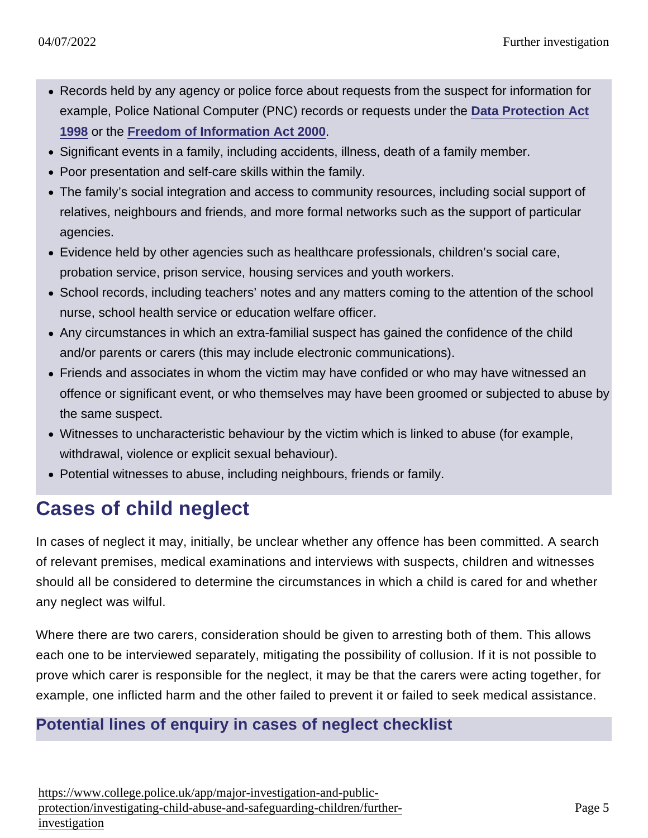- Records held by any agency or police force about requests from the suspect for information for example, Police National Computer (PNC) records or requests under the [Data Protection Act](http://www.legislation.gov.uk/ukpga/1998/29/contents) [1998](http://www.legislation.gov.uk/ukpga/1998/29/contents) or the [Freedom of Information Act 2000](http://www.legislation.gov.uk/ukpga/2000/36/contents) .
- Significant events in a family, including accidents, illness, death of a family member.
- Poor presentation and self-care skills within the family.
- The family's social integration and access to community resources, including social support of relatives, neighbours and friends, and more formal networks such as the support of particular agencies.
- Evidence held by other agencies such as healthcare professionals, children's social care, probation service, prison service, housing services and youth workers.
- School records, including teachers' notes and any matters coming to the attention of the school nurse, school health service or education welfare officer.
- Any circumstances in which an extra-familial suspect has gained the confidence of the child and/or parents or carers (this may include electronic communications).
- Friends and associates in whom the victim may have confided or who may have witnessed an offence or significant event, or who themselves may have been groomed or subjected to abuse by the same suspect.
- Witnesses to uncharacteristic behaviour by the victim which is linked to abuse (for example, withdrawal, violence or explicit sexual behaviour).
- Potential witnesses to abuse, including neighbours, friends or family.

#### Cases of child neglect

In cases of neglect it may, initially, be unclear whether any offence has been committed. A search of relevant premises, medical examinations and interviews with suspects, children and witnesses should all be considered to determine the circumstances in which a child is cared for and whether any neglect was wilful.

Where there are two carers, consideration should be given to arresting both of them. This allows each one to be interviewed separately, mitigating the possibility of collusion. If it is not possible to prove which carer is responsible for the neglect, it may be that the carers were acting together, for example, one inflicted harm and the other failed to prevent it or failed to seek medical assistance.

#### Potential lines of enquiry in cases of neglect checklist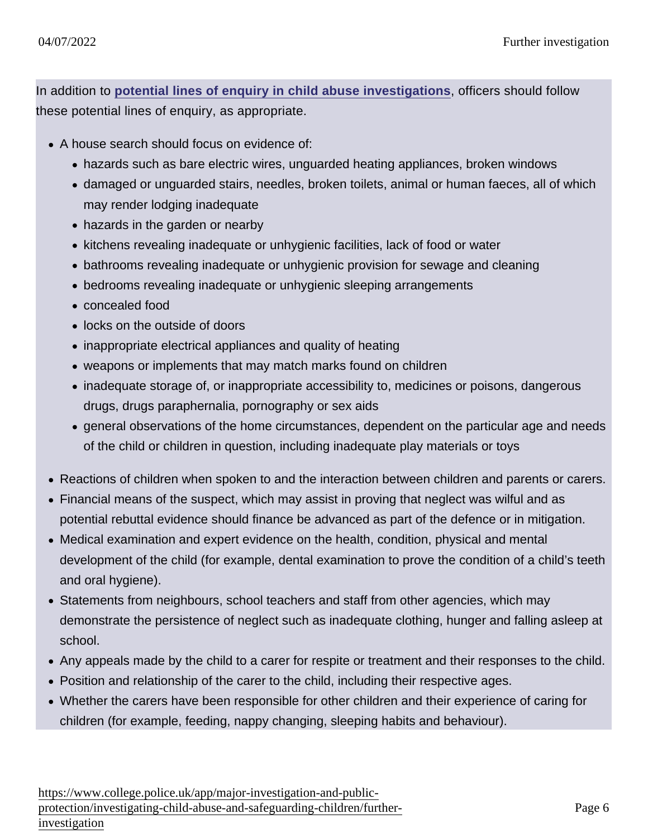In addition to [potential lines of enquiry in child abuse investigations](https://www.app.college.police.uk/app-content/major-investigation-and-public-protection/child-abuse/further-investigation/#potential-lines-of-enquiry-in-child-abuse-investigations-checklist) , officers should follow these potential lines of enquiry, as appropriate.

- A house search should focus on evidence of:
	- hazards such as bare electric wires, unguarded heating appliances, broken windows
	- damaged or unguarded stairs, needles, broken toilets, animal or human faeces, all of which may render lodging inadequate
	- hazards in the garden or nearby
	- kitchens revealing inadequate or unhygienic facilities, lack of food or water
	- bathrooms revealing inadequate or unhygienic provision for sewage and cleaning
	- bedrooms revealing inadequate or unhygienic sleeping arrangements
	- concealed food
	- locks on the outside of doors
	- inappropriate electrical appliances and quality of heating
	- weapons or implements that may match marks found on children
	- inadequate storage of, or inappropriate accessibility to, medicines or poisons, dangerous drugs, drugs paraphernalia, pornography or sex aids
	- general observations of the home circumstances, dependent on the particular age and needs of the child or children in question, including inadequate play materials or toys
- Reactions of children when spoken to and the interaction between children and parents or carers.
- Financial means of the suspect, which may assist in proving that neglect was wilful and as potential rebuttal evidence should finance be advanced as part of the defence or in mitigation.
- Medical examination and expert evidence on the health, condition, physical and mental development of the child (for example, dental examination to prove the condition of a child's teeth and oral hygiene).
- Statements from neighbours, school teachers and staff from other agencies, which may demonstrate the persistence of neglect such as inadequate clothing, hunger and falling asleep at school.
- Any appeals made by the child to a carer for respite or treatment and their responses to the child.
- Position and relationship of the carer to the child, including their respective ages.
- Whether the carers have been responsible for other children and their experience of caring for children (for example, feeding, nappy changing, sleeping habits and behaviour).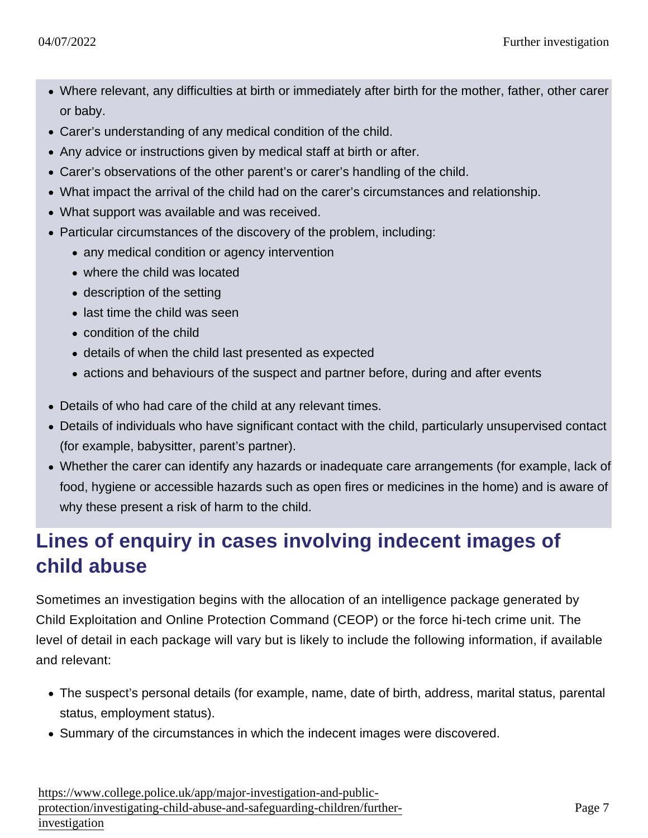- Where relevant, any difficulties at birth or immediately after birth for the mother, father, other carer or baby.
- Carer's understanding of any medical condition of the child.
- Any advice or instructions given by medical staff at birth or after.
- Carer's observations of the other parent's or carer's handling of the child.
- What impact the arrival of the child had on the carer's circumstances and relationship.
- What support was available and was received.
- Particular circumstances of the discovery of the problem, including:
	- any medical condition or agency intervention
	- where the child was located
	- description of the setting
	- last time the child was seen
	- condition of the child
	- details of when the child last presented as expected
	- actions and behaviours of the suspect and partner before, during and after events
- Details of who had care of the child at any relevant times.
- Details of individuals who have significant contact with the child, particularly unsupervised contact (for example, babysitter, parent's partner).
- Whether the carer can identify any hazards or inadequate care arrangements (for example, lack of food, hygiene or accessible hazards such as open fires or medicines in the home) and is aware of why these present a risk of harm to the child.

## Lines of enquiry in cases involving indecent images of child abuse

Sometimes an investigation begins with the allocation of an intelligence package generated by Child Exploitation and Online Protection Command (CEOP) or the force hi-tech crime unit. The level of detail in each package will vary but is likely to include the following information, if available and relevant:

- The suspect's personal details (for example, name, date of birth, address, marital status, parental status, employment status).
- Summary of the circumstances in which the indecent images were discovered.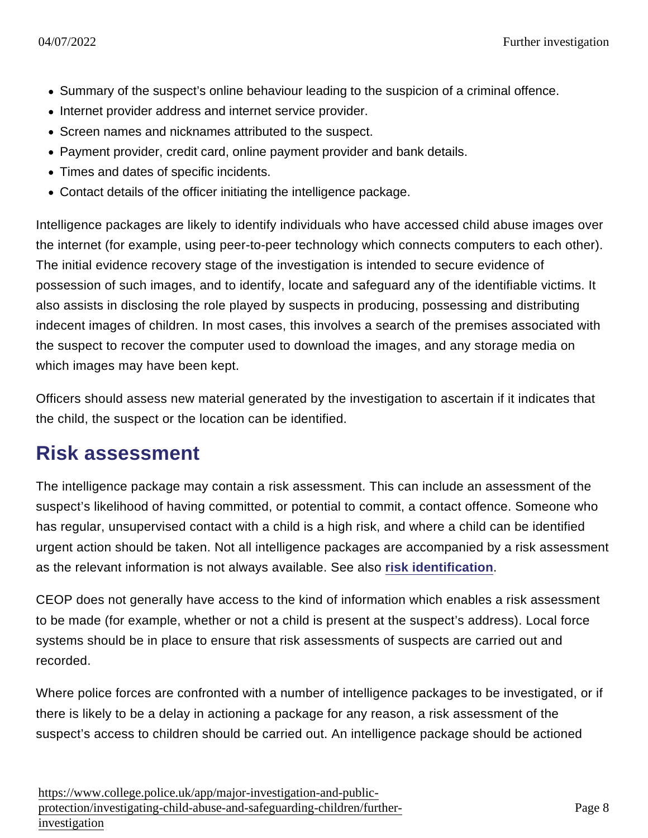- Summary of the suspect's online behaviour leading to the suspicion of a criminal offence.
- Internet provider address and internet service provider.
- Screen names and nicknames attributed to the suspect.
- Payment provider, credit card, online payment provider and bank details.
- Times and dates of specific incidents.
- Contact details of the officer initiating the intelligence package.

Intelligence packages are likely to identify individuals who have accessed child abuse images over the internet (for example, using peer-to-peer technology which connects computers to each other). The initial evidence recovery stage of the investigation is intended to secure evidence of possession of such images, and to identify, locate and safeguard any of the identifiable victims. It also assists in disclosing the role played by suspects in producing, possessing and distributing indecent images of children. In most cases, this involves a search of the premises associated with the suspect to recover the computer used to download the images, and any storage media on which images may have been kept.

Officers should assess new material generated by the investigation to ascertain if it indicates that the child, the suspect or the location can be identified.

#### Risk assessment

The intelligence package may contain a risk assessment. This can include an assessment of the suspect's likelihood of having committed, or potential to commit, a contact offence. Someone who has regular, unsupervised contact with a child is a high risk, and where a child can be identified urgent action should be taken. Not all intelligence packages are accompanied by a risk assessment as the relevant information is not always available. See also [risk identification](https://www.app.college.police.uk/app-content/major-investigation-and-public-protection/child-abuse/concern-for-a-child/#risk-identification) .

CEOP does not generally have access to the kind of information which enables a risk assessment to be made (for example, whether or not a child is present at the suspect's address). Local force systems should be in place to ensure that risk assessments of suspects are carried out and recorded.

Where police forces are confronted with a number of intelligence packages to be investigated, or if there is likely to be a delay in actioning a package for any reason, a risk assessment of the suspect's access to children should be carried out. An intelligence package should be actioned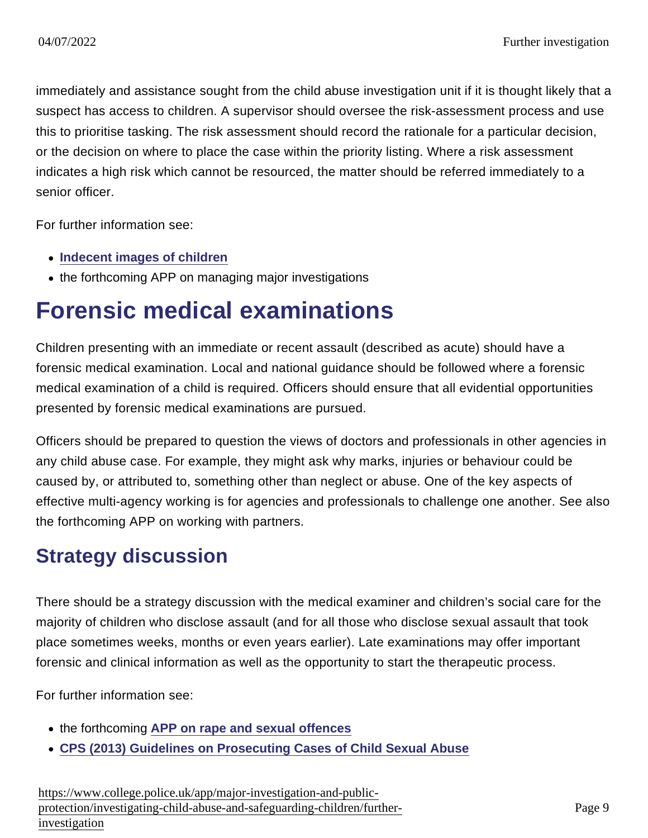immediately and assistance sought from the child abuse investigation unit if it is thought likely that a suspect has access to children. A supervisor should oversee the risk-assessment process and use this to prioritise tasking. The risk assessment should record the rationale for a particular decision, or the decision on where to place the case within the priority listing. Where a risk assessment indicates a high risk which cannot be resourced, the matter should be referred immediately to a senior officer.

For further information see:

- [Indecent images of children](https://www.app.college.police.uk/app-content/major-investigation-and-public-protection/child-abuse/police-response/risk-and-associated-investigations/#indecent-images-of-children)
- the forthcoming APP on managing major investigations

## Forensic medical examinations

Children presenting with an immediate or recent assault (described as acute) should have a forensic medical examination. Local and national guidance should be followed where a forensic medical examination of a child is required. Officers should ensure that all evidential opportunities presented by forensic medical examinations are pursued.

Officers should be prepared to question the views of doctors and professionals in other agencies in any child abuse case. For example, they might ask why marks, injuries or behaviour could be caused by, or attributed to, something other than neglect or abuse. One of the key aspects of effective multi-agency working is for agencies and professionals to challenge one another. See also the forthcoming APP on working with partners.

#### Strategy discussion

There should be a strategy discussion with the medical examiner and children's social care for the majority of children who disclose assault (and for all those who disclose sexual assault that took place sometimes weeks, months or even years earlier). Late examinations may offer important forensic and clinical information as well as the opportunity to start the therapeutic process.

For further information see:

- the forthcoming [APP on rape and sexual offences](https://www.app.college.police.uk/app-content/major-investigation-and-public-protection/rape-and-sexual-offences/)
- [CPS \(2013\) Guidelines on Prosecuting Cases of Child Sexual Abuse](http://www.cps.gov.uk/consultations/csa_guidelines_v2.pdf)

[https://www.college.police.uk/app/major-investigation-and-pu](https://www.college.police.uk/app/major-investigation-and-public-protection/investigating-child-abuse-and-safeguarding-children/further-investigation)blic[protection/investigating-child-abuse-and-safeguarding-children/fu](https://www.college.police.uk/app/major-investigation-and-public-protection/investigating-child-abuse-and-safeguarding-children/further-investigation)rther[investigation](https://www.college.police.uk/app/major-investigation-and-public-protection/investigating-child-abuse-and-safeguarding-children/further-investigation)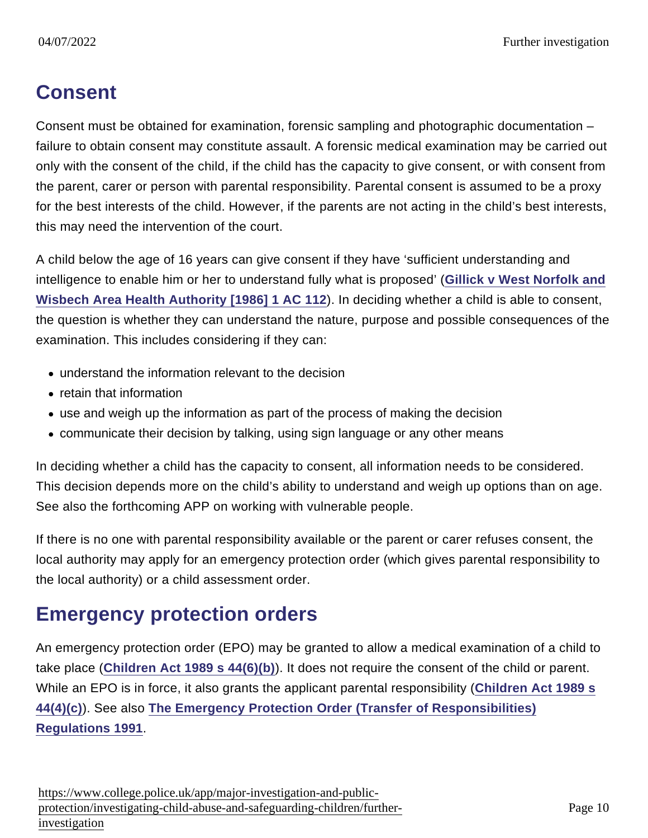### **Consent**

Consent must be obtained for examination, forensic sampling and photographic documentation – failure to obtain consent may constitute assault. A forensic medical examination may be carried out only with the consent of the child, if the child has the capacity to give consent, or with consent from the parent, carer or person with parental responsibility. Parental consent is assumed to be a proxy for the best interests of the child. However, if the parents are not acting in the child's best interests, this may need the intervention of the court.

A child below the age of 16 years can give consent if they have 'sufficient understanding and intelligence to enable him or her to understand fully what is proposed' [\(Gillick v West Norfolk and](http://www.bailii.org/uk/cases/UKHL/1985/7.html) [Wisbech Area Health Authority \[1986\] 1 AC 112](http://www.bailii.org/uk/cases/UKHL/1985/7.html) ). In deciding whether a child is able to consent, the question is whether they can understand the nature, purpose and possible consequences of the examination. This includes considering if they can:

- understand the information relevant to the decision
- retain that information
- use and weigh up the information as part of the process of making the decision
- communicate their decision by talking, using sign language or any other means

In deciding whether a child has the capacity to consent, all information needs to be considered. This decision depends more on the child's ability to understand and weigh up options than on age. See also the forthcoming APP on working with vulnerable people.

If there is no one with parental responsibility available or the parent or carer refuses consent, the local authority may apply for an emergency protection order (which gives parental responsibility to the local authority) or a child assessment order.

#### Emergency protection orders

An emergency protection order (EPO) may be granted to allow a medical examination of a child to take place ([Children Act 1989 s 44\(6\)\(b\)](http://www.legislation.gov.uk/ukpga/1989/41/section/44) ). It does not require the consent of the child or parent. While an EPO is in force, it also grants the applicant parental responsibility ([Children Act 1989 s](http://www.legislation.gov.uk/ukpga/1989/41/section/44) [44\(4\)\(c\)\)](http://www.legislation.gov.uk/ukpga/1989/41/section/44). See also [The Emergency Protection Order \(Transfer of Responsibilities\)](http://www.legislation.gov.uk/uksi/1991/1414/made) [Regulations 1991](http://www.legislation.gov.uk/uksi/1991/1414/made) .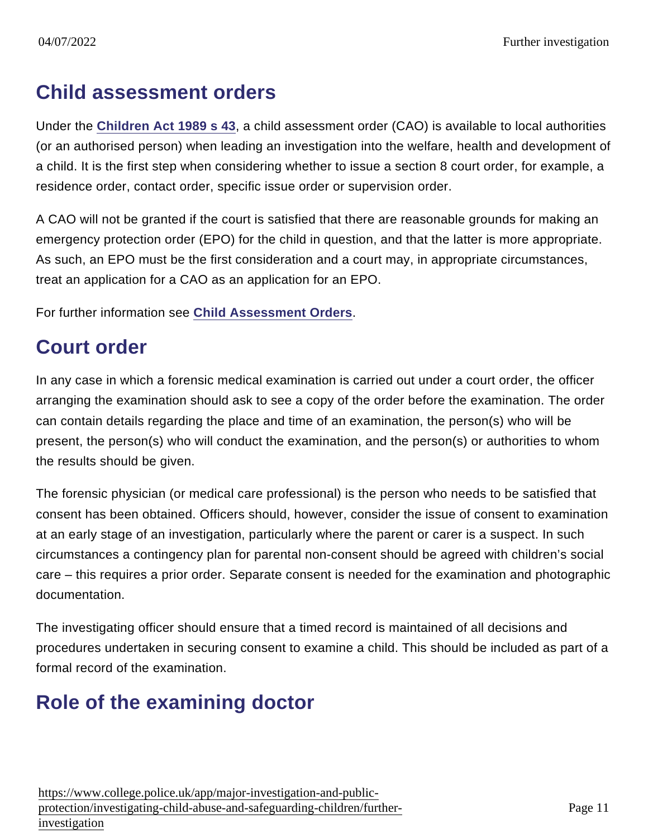#### Child assessment orders

Under the [Children Act 1989 s 43](http://www.legislation.gov.uk/ukpga/1989/41/section/43) , a child assessment order (CAO) is available to local authorities (or an authorised person) when leading an investigation into the welfare, health and development of a child. It is the first step when considering whether to issue a section 8 court order, for example, a residence order, contact order, specific issue order or supervision order.

A CAO will not be granted if the court is satisfied that there are reasonable grounds for making an emergency protection order (EPO) for the child in question, and that the latter is more appropriate. As such, an EPO must be the first consideration and a court may, in appropriate circumstances, treat an application for a CAO as an application for an EPO.

For further information see [Child Assessment Orders](http://www.inbrief.co.uk/child-law/child-assessment-orders.htm) .

## Court order

In any case in which a forensic medical examination is carried out under a court order, the officer arranging the examination should ask to see a copy of the order before the examination. The order can contain details regarding the place and time of an examination, the person(s) who will be present, the person(s) who will conduct the examination, and the person(s) or authorities to whom the results should be given.

The forensic physician (or medical care professional) is the person who needs to be satisfied that consent has been obtained. Officers should, however, consider the issue of consent to examination at an early stage of an investigation, particularly where the parent or carer is a suspect. In such circumstances a contingency plan for parental non-consent should be agreed with children's social care – this requires a prior order. Separate consent is needed for the examination and photographic documentation.

The investigating officer should ensure that a timed record is maintained of all decisions and procedures undertaken in securing consent to examine a child. This should be included as part of a formal record of the examination.

#### Role of the examining doctor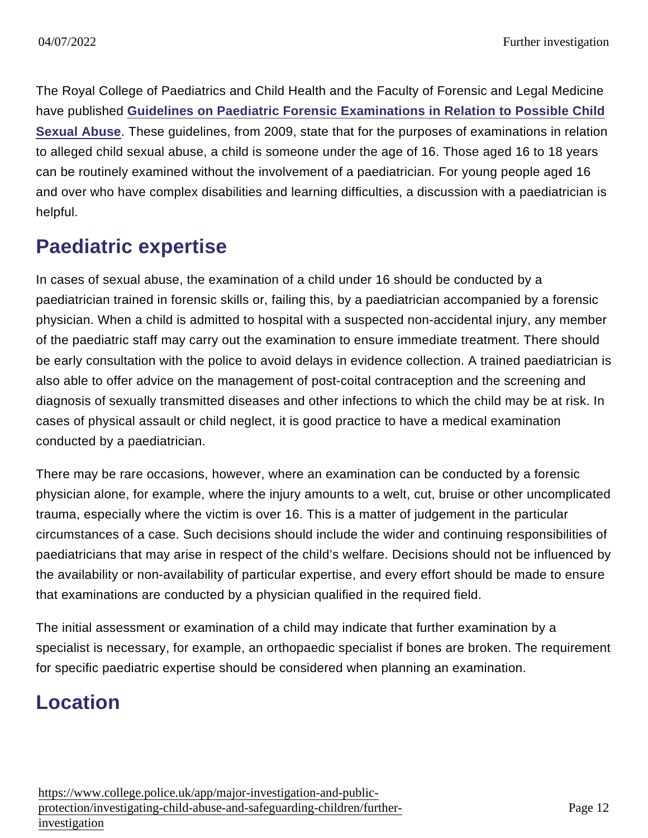The Royal College of Paediatrics and Child Health and the Faculty of Forensic and Legal Medicine have published [Guidelines on Paediatric Forensic Examinations in Relation to Possible Child](http://www.fflm.ac.uk/wp-content/uploads/documentstore/1352802061.pdf) [Sexual Abuse](http://www.fflm.ac.uk/wp-content/uploads/documentstore/1352802061.pdf) . These guidelines, from 2009, state that for the purposes of examinations in relation to alleged child sexual abuse, a child is someone under the age of 16. Those aged 16 to 18 years can be routinely examined without the involvement of a paediatrician. For young people aged 16 and over who have complex disabilities and learning difficulties, a discussion with a paediatrician is helpful.

### Paediatric expertise

In cases of sexual abuse, the examination of a child under 16 should be conducted by a paediatrician trained in forensic skills or, failing this, by a paediatrician accompanied by a forensic physician. When a child is admitted to hospital with a suspected non-accidental injury, any member of the paediatric staff may carry out the examination to ensure immediate treatment. There should be early consultation with the police to avoid delays in evidence collection. A trained paediatrician is also able to offer advice on the management of post-coital contraception and the screening and diagnosis of sexually transmitted diseases and other infections to which the child may be at risk. In cases of physical assault or child neglect, it is good practice to have a medical examination conducted by a paediatrician.

There may be rare occasions, however, where an examination can be conducted by a forensic physician alone, for example, where the injury amounts to a welt, cut, bruise or other uncomplicated trauma, especially where the victim is over 16. This is a matter of judgement in the particular circumstances of a case. Such decisions should include the wider and continuing responsibilities of paediatricians that may arise in respect of the child's welfare. Decisions should not be influenced by the availability or non-availability of particular expertise, and every effort should be made to ensure that examinations are conducted by a physician qualified in the required field.

The initial assessment or examination of a child may indicate that further examination by a specialist is necessary, for example, an orthopaedic specialist if bones are broken. The requirement for specific paediatric expertise should be considered when planning an examination.

#### Location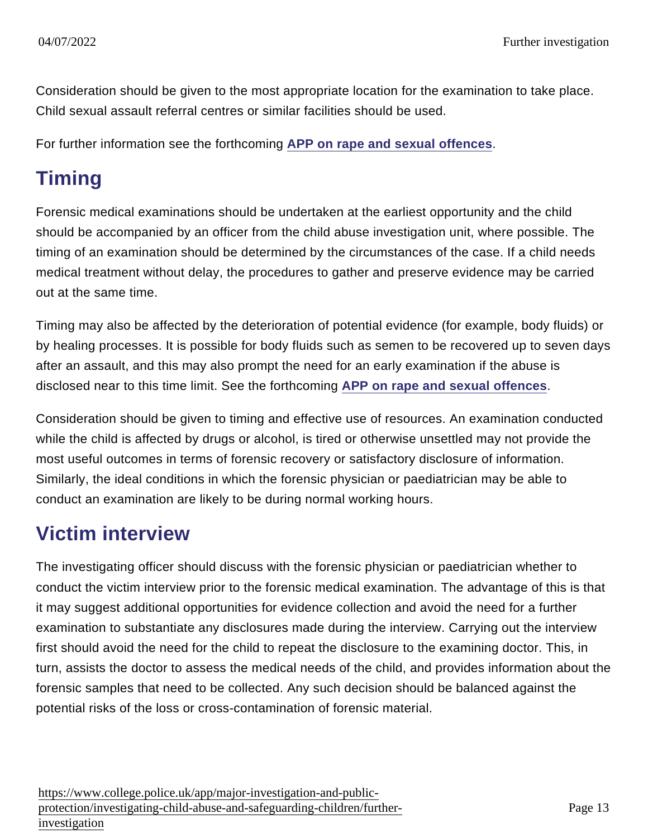Consideration should be given to the most appropriate location for the examination to take place. Child sexual assault referral centres or similar facilities should be used.

For further information see the forthcoming [APP on rape and sexual offences](https://www.app.college.police.uk/app-content/major-investigation-and-public-protection/rape-and-sexual-offences/) .

## Timing

Forensic medical examinations should be undertaken at the earliest opportunity and the child should be accompanied by an officer from the child abuse investigation unit, where possible. The timing of an examination should be determined by the circumstances of the case. If a child needs medical treatment without delay, the procedures to gather and preserve evidence may be carried out at the same time.

Timing may also be affected by the deterioration of potential evidence (for example, body fluids) or by healing processes. It is possible for body fluids such as semen to be recovered up to seven days after an assault, and this may also prompt the need for an early examination if the abuse is disclosed near to this time limit. See the forthcoming [APP on rape and sexual offences](https://www.app.college.police.uk/app-content/major-investigation-and-public-protection/rape-and-sexual-offences/) .

Consideration should be given to timing and effective use of resources. An examination conducted while the child is affected by drugs or alcohol, is tired or otherwise unsettled may not provide the most useful outcomes in terms of forensic recovery or satisfactory disclosure of information. Similarly, the ideal conditions in which the forensic physician or paediatrician may be able to conduct an examination are likely to be during normal working hours.

#### Victim interview

The investigating officer should discuss with the forensic physician or paediatrician whether to conduct the victim interview prior to the forensic medical examination. The advantage of this is that it may suggest additional opportunities for evidence collection and avoid the need for a further examination to substantiate any disclosures made during the interview. Carrying out the interview first should avoid the need for the child to repeat the disclosure to the examining doctor. This, in turn, assists the doctor to assess the medical needs of the child, and provides information about the forensic samples that need to be collected. Any such decision should be balanced against the potential risks of the loss or cross-contamination of forensic material.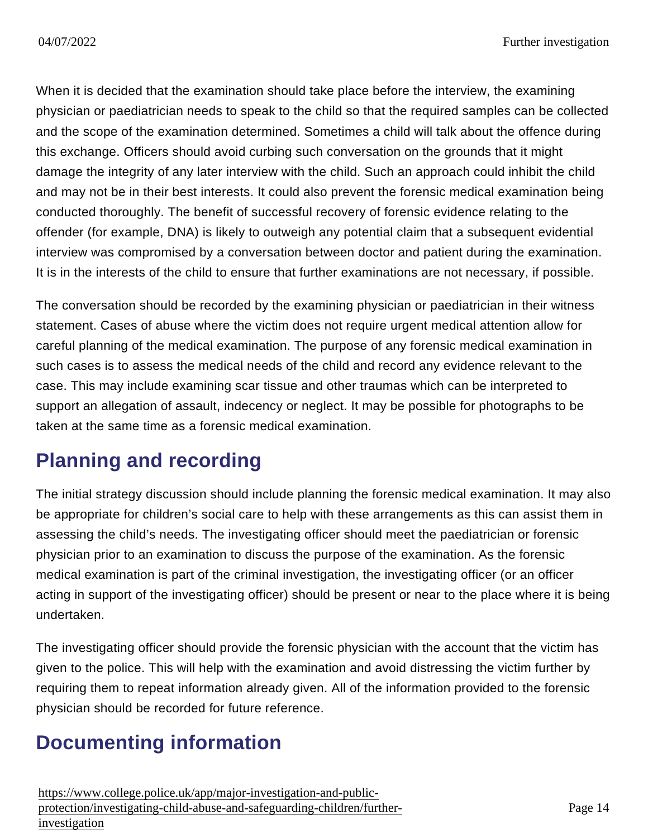When it is decided that the examination should take place before the interview, the examining physician or paediatrician needs to speak to the child so that the required samples can be collected and the scope of the examination determined. Sometimes a child will talk about the offence during this exchange. Officers should avoid curbing such conversation on the grounds that it might damage the integrity of any later interview with the child. Such an approach could inhibit the child and may not be in their best interests. It could also prevent the forensic medical examination being conducted thoroughly. The benefit of successful recovery of forensic evidence relating to the offender (for example, DNA) is likely to outweigh any potential claim that a subsequent evidential interview was compromised by a conversation between doctor and patient during the examination. It is in the interests of the child to ensure that further examinations are not necessary, if possible.

The conversation should be recorded by the examining physician or paediatrician in their witness statement. Cases of abuse where the victim does not require urgent medical attention allow for careful planning of the medical examination. The purpose of any forensic medical examination in such cases is to assess the medical needs of the child and record any evidence relevant to the case. This may include examining scar tissue and other traumas which can be interpreted to support an allegation of assault, indecency or neglect. It may be possible for photographs to be taken at the same time as a forensic medical examination.

## Planning and recording

The initial strategy discussion should include planning the forensic medical examination. It may also be appropriate for children's social care to help with these arrangements as this can assist them in assessing the child's needs. The investigating officer should meet the paediatrician or forensic physician prior to an examination to discuss the purpose of the examination. As the forensic medical examination is part of the criminal investigation, the investigating officer (or an officer acting in support of the investigating officer) should be present or near to the place where it is being undertaken.

The investigating officer should provide the forensic physician with the account that the victim has given to the police. This will help with the examination and avoid distressing the victim further by requiring them to repeat information already given. All of the information provided to the forensic physician should be recorded for future reference.

### Documenting information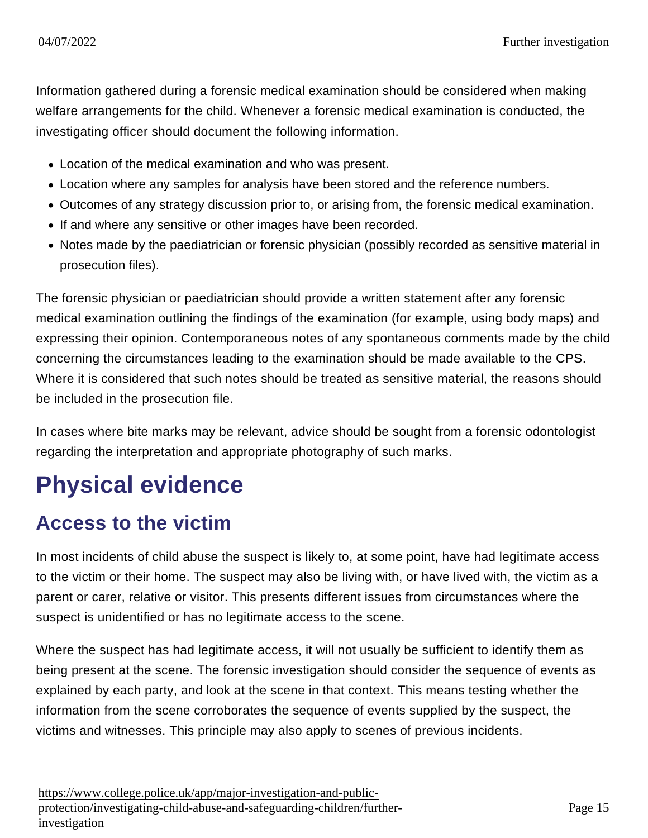Information gathered during a forensic medical examination should be considered when making welfare arrangements for the child. Whenever a forensic medical examination is conducted, the investigating officer should document the following information.

- Location of the medical examination and who was present.
- Location where any samples for analysis have been stored and the reference numbers.
- Outcomes of any strategy discussion prior to, or arising from, the forensic medical examination.
- If and where any sensitive or other images have been recorded.
- Notes made by the paediatrician or forensic physician (possibly recorded as sensitive material in prosecution files).

The forensic physician or paediatrician should provide a written statement after any forensic medical examination outlining the findings of the examination (for example, using body maps) and expressing their opinion. Contemporaneous notes of any spontaneous comments made by the child concerning the circumstances leading to the examination should be made available to the CPS. Where it is considered that such notes should be treated as sensitive material, the reasons should be included in the prosecution file.

In cases where bite marks may be relevant, advice should be sought from a forensic odontologist regarding the interpretation and appropriate photography of such marks.

# Physical evidence

#### Access to the victim

In most incidents of child abuse the suspect is likely to, at some point, have had legitimate access to the victim or their home. The suspect may also be living with, or have lived with, the victim as a parent or carer, relative or visitor. This presents different issues from circumstances where the suspect is unidentified or has no legitimate access to the scene.

Where the suspect has had legitimate access, it will not usually be sufficient to identify them as being present at the scene. The forensic investigation should consider the sequence of events as explained by each party, and look at the scene in that context. This means testing whether the information from the scene corroborates the sequence of events supplied by the suspect, the victims and witnesses. This principle may also apply to scenes of previous incidents.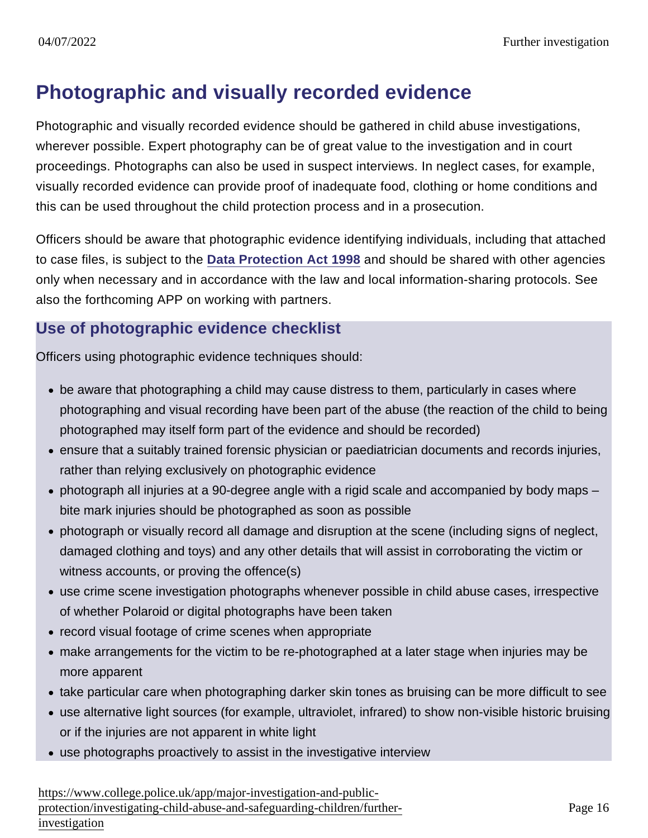#### Photographic and visually recorded evidence

Photographic and visually recorded evidence should be gathered in child abuse investigations, wherever possible. Expert photography can be of great value to the investigation and in court proceedings. Photographs can also be used in suspect interviews. In neglect cases, for example, visually recorded evidence can provide proof of inadequate food, clothing or home conditions and this can be used throughout the child protection process and in a prosecution.

Officers should be aware that photographic evidence identifying individuals, including that attached to case files, is subject to the [Data Protection Act 1998](http://www.legislation.gov.uk/ukpga/1998/29/contents) and should be shared with other agencies only when necessary and in accordance with the law and local information-sharing protocols. See also the forthcoming APP on working with partners.

#### Use of photographic evidence checklist

Officers using photographic evidence techniques should:

- be aware that photographing a child may cause distress to them, particularly in cases where photographing and visual recording have been part of the abuse (the reaction of the child to being photographed may itself form part of the evidence and should be recorded)
- ensure that a suitably trained forensic physician or paediatrician documents and records injuries, rather than relying exclusively on photographic evidence
- photograph all injuries at a 90-degree angle with a rigid scale and accompanied by body maps bite mark injuries should be photographed as soon as possible
- photograph or visually record all damage and disruption at the scene (including signs of neglect, damaged clothing and toys) and any other details that will assist in corroborating the victim or witness accounts, or proving the offence(s)
- use crime scene investigation photographs whenever possible in child abuse cases, irrespective of whether Polaroid or digital photographs have been taken
- record visual footage of crime scenes when appropriate
- make arrangements for the victim to be re-photographed at a later stage when injuries may be more apparent
- take particular care when photographing darker skin tones as bruising can be more difficult to see
- use alternative light sources (for example, ultraviolet, infrared) to show non-visible historic bruising or if the injuries are not apparent in white light
- use photographs proactively to assist in the investigative interview

[https://www.college.police.uk/app/major-investigation-and-pu](https://www.college.police.uk/app/major-investigation-and-public-protection/investigating-child-abuse-and-safeguarding-children/further-investigation)blic[protection/investigating-child-abuse-and-safeguarding-children/fu](https://www.college.police.uk/app/major-investigation-and-public-protection/investigating-child-abuse-and-safeguarding-children/further-investigation)rther[investigation](https://www.college.police.uk/app/major-investigation-and-public-protection/investigating-child-abuse-and-safeguarding-children/further-investigation)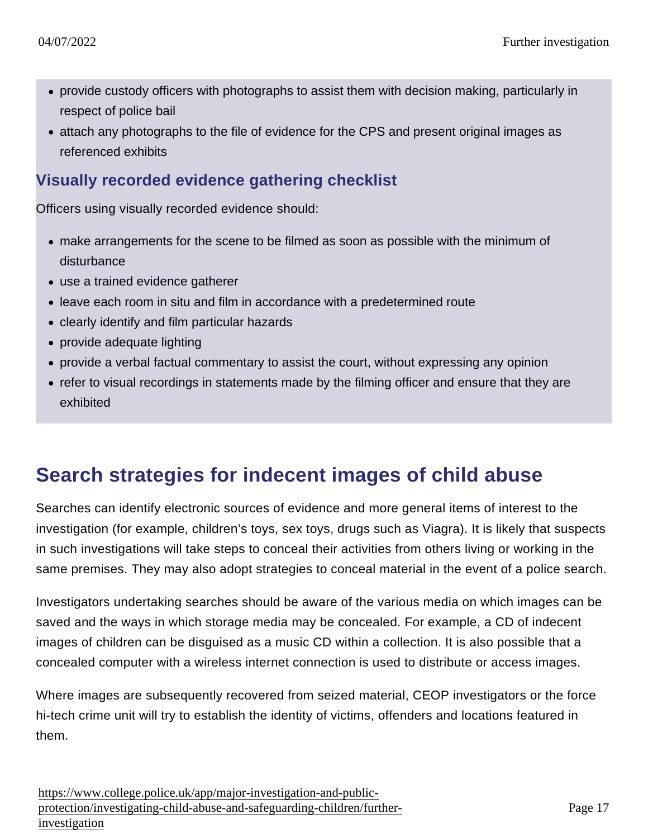- provide custody officers with photographs to assist them with decision making, particularly in respect of police bail
- attach any photographs to the file of evidence for the CPS and present original images as referenced exhibits

#### Visually recorded evidence gathering checklist

Officers using visually recorded evidence should:

- make arrangements for the scene to be filmed as soon as possible with the minimum of disturbance
- use a trained evidence gatherer
- leave each room in situ and film in accordance with a predetermined route
- clearly identify and film particular hazards
- provide adequate lighting
- provide a verbal factual commentary to assist the court, without expressing any opinion
- refer to visual recordings in statements made by the filming officer and ensure that they are exhibited

#### Search strategies for indecent images of child abuse

Searches can identify electronic sources of evidence and more general items of interest to the investigation (for example, children's toys, sex toys, drugs such as Viagra). It is likely that suspects in such investigations will take steps to conceal their activities from others living or working in the same premises. They may also adopt strategies to conceal material in the event of a police search.

Investigators undertaking searches should be aware of the various media on which images can be saved and the ways in which storage media may be concealed. For example, a CD of indecent images of children can be disguised as a music CD within a collection. It is also possible that a concealed computer with a wireless internet connection is used to distribute or access images.

Where images are subsequently recovered from seized material, CEOP investigators or the force hi-tech crime unit will try to establish the identity of victims, offenders and locations featured in them.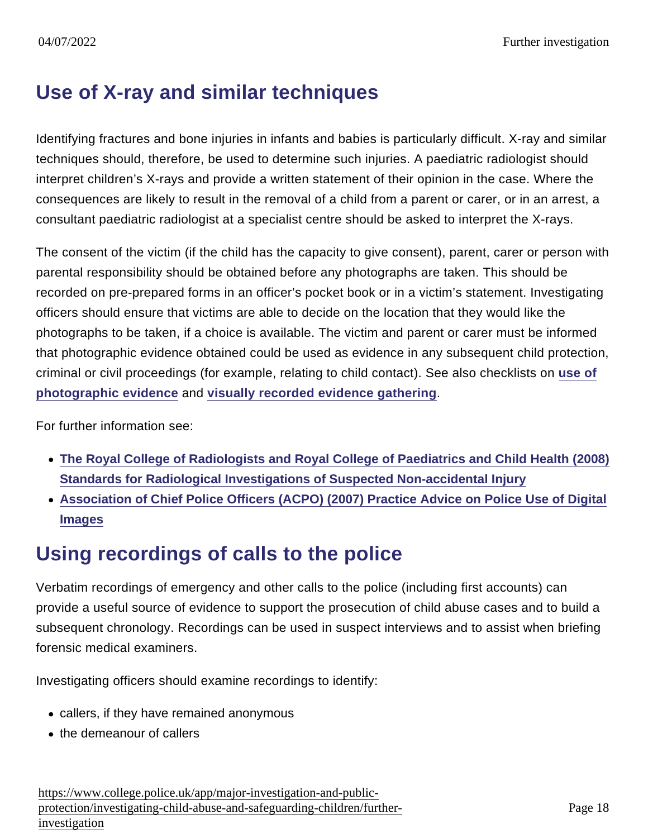### Use of X-ray and similar techniques

Identifying fractures and bone injuries in infants and babies is particularly difficult. X-ray and similar techniques should, therefore, be used to determine such injuries. A paediatric radiologist should interpret children's X-rays and provide a written statement of their opinion in the case. Where the consequences are likely to result in the removal of a child from a parent or carer, or in an arrest, a consultant paediatric radiologist at a specialist centre should be asked to interpret the X-rays.

The consent of the victim (if the child has the capacity to give consent), parent, carer or person with parental responsibility should be obtained before any photographs are taken. This should be recorded on pre-prepared forms in an officer's pocket book or in a victim's statement. Investigating officers should ensure that victims are able to decide on the location that they would like the photographs to be taken, if a choice is available. The victim and parent or carer must be informed that photographic evidence obtained could be used as evidence in any subsequent child protection, criminal or civil proceedings (for example, relating to child contact). See also checklists on [use of](https://www.app.college.police.uk/app-content/major-investigation-and-public-protection/child-abuse/further-investigation/#use-of-photographic-evidence-checklist) [photographic evidence](https://www.app.college.police.uk/app-content/major-investigation-and-public-protection/child-abuse/further-investigation/#use-of-photographic-evidence-checklist) and [visually recorded evidence gathering](https://www.app.college.police.uk/app-content/major-investigation-and-public-protection/child-abuse/further-investigation/#visually-recorded-evidence-gathering-checklist) .

For further information see:

- [The Royal College of Radiologists and Royal College of Paediatrics and Child Health \(2008\)](http://www.rcr.ac.uk/docs/radiology/pdf/RCPCH_RCR_final.pdf) [Standards for Radiological Investigations of Suspected Non-accidental Injury](http://www.rcr.ac.uk/docs/radiology/pdf/RCPCH_RCR_final.pdf)
- [Association of Chief Police Officers \(ACPO\) \(2007\) Practice Advice on Police Use of Digital](https://library.college.police.uk/docs/acpo/Police-Use-of-Digital-Images-2007.pdf) [Images](https://library.college.police.uk/docs/acpo/Police-Use-of-Digital-Images-2007.pdf)

### Using recordings of calls to the police

Verbatim recordings of emergency and other calls to the police (including first accounts) can provide a useful source of evidence to support the prosecution of child abuse cases and to build a subsequent chronology. Recordings can be used in suspect interviews and to assist when briefing forensic medical examiners.

Investigating officers should examine recordings to identify:

- callers, if they have remained anonymous
- the demeanour of callers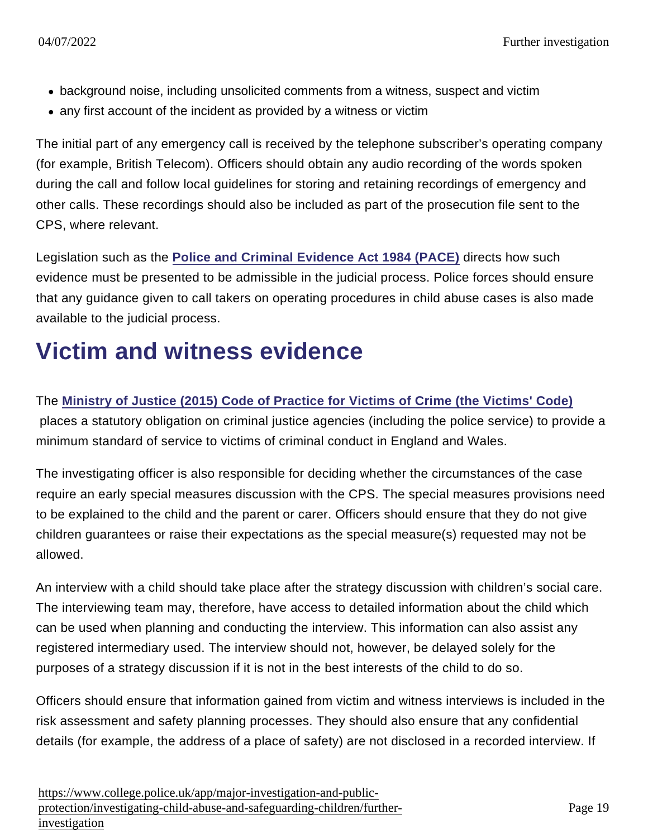- background noise, including unsolicited comments from a witness, suspect and victim
- any first account of the incident as provided by a witness or victim

The initial part of any emergency call is received by the telephone subscriber's operating company (for example, British Telecom). Officers should obtain any audio recording of the words spoken during the call and follow local guidelines for storing and retaining recordings of emergency and other calls. These recordings should also be included as part of the prosecution file sent to the CPS, where relevant.

Legislation such as the [Police and Criminal Evidence Act 1984 \(PACE\)](http://www.legislation.gov.uk/ukpga/1984/60/contents) directs how such evidence must be presented to be admissible in the judicial process. Police forces should ensure that any guidance given to call takers on operating procedures in child abuse cases is also made available to the judicial process.

# Victim and witness evidence

The [Ministry of Justice \(2015\) Code of Practice for Victims of Crime \(the Victims' Code\)](https://www.gov.uk/government/uploads/system/uploads/attachment_data/file/470212/code-of-practice-for-victims-of-crime.PDF)

 places a statutory obligation on criminal justice agencies (including the police service) to provide a minimum standard of service to victims of criminal conduct in England and Wales.

The investigating officer is also responsible for deciding whether the circumstances of the case require an early special measures discussion with the CPS. The special measures provisions need to be explained to the child and the parent or carer. Officers should ensure that they do not give children guarantees or raise their expectations as the special measure(s) requested may not be allowed.

An interview with a child should take place after the strategy discussion with children's social care. The interviewing team may, therefore, have access to detailed information about the child which can be used when planning and conducting the interview. This information can also assist any registered intermediary used. The interview should not, however, be delayed solely for the purposes of a strategy discussion if it is not in the best interests of the child to do so.

Officers should ensure that information gained from victim and witness interviews is included in the risk assessment and safety planning processes. They should also ensure that any confidential details (for example, the address of a place of safety) are not disclosed in a recorded interview. If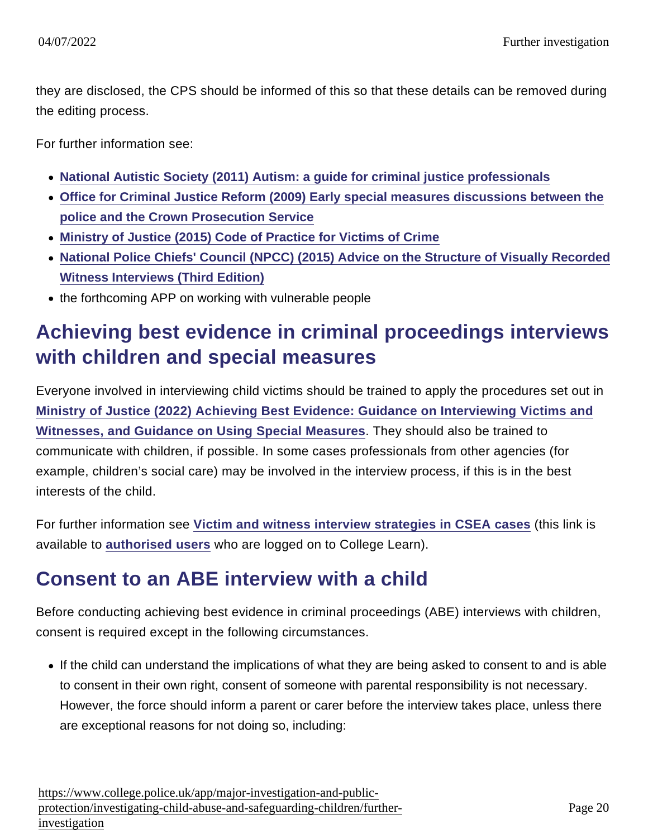they are disclosed, the CPS should be informed of this so that these details can be removed during the editing process.

For further information see:

- [National Autistic Society \(2011\) Autism: a guide for criminal justice professionals](http://www.autism.org.uk/cjs)
- [Office for Criminal Justice Reform \(2009\) Early special measures discussions between the](https://library.college.police.uk/docs/cps/Early_special_measures_discussions_between_the_police_and_the_CPS.pdf) [police and the Crown Prosecution Service](https://library.college.police.uk/docs/cps/Early_special_measures_discussions_between_the_police_and_the_CPS.pdf)
- [Ministry of Justice \(2015\) Code of Practice for Victims of Crime](https://www.gov.uk/government/uploads/system/uploads/attachment_data/file/470212/code-of-practice-for-victims-of-crime.PDF)
- [National Police Chiefs' Council \(NPCC\) \(2015\) Advice on the Structure of Visually Recorded](https://library.college.police.uk/docs/appref/NPCC-(2015)-Guidance-Visually-Recorded-Interviews 3rd Edition.pdf) [Witness Interviews \(Third Edition\)](https://library.college.police.uk/docs/appref/NPCC-(2015)-Guidance-Visually-Recorded-Interviews 3rd Edition.pdf)
- the forthcoming APP on working with vulnerable people

## Achieving best evidence in criminal proceedings interviews with children and special measures

Everyone involved in interviewing child victims should be trained to apply the procedures set out in [Ministry of Justice \(2022\) Achieving Best Evidence: Guidance on Interviewing Victims and](https://www.gov.uk/government/publications/achieving-best-evidence-in-criminal-proceedings) [Witnesses, and Guidance on Using Special Measures](https://www.gov.uk/government/publications/achieving-best-evidence-in-criminal-proceedings) . They should also be trained to communicate with children, if possible. In some cases professionals from other agencies (for example, children's social care) may be involved in the interview process, if this is in the best interests of the child.

For further information see [Victim and witness interview strategies in CSEA cases](https://www.learn.college.pnn.police.uk/CL/Content/Summary/35350) (this link is available to [authorised users](https://www.learn.college.pnn.police.uk/CL/Content/Summary/35350) who are logged on to College Learn).

#### Consent to an ABE interview with a child

Before conducting achieving best evidence in criminal proceedings (ABE) interviews with children, consent is required except in the following circumstances.

If the child can understand the implications of what they are being asked to consent to and is able to consent in their own right, consent of someone with parental responsibility is not necessary. However, the force should inform a parent or carer before the interview takes place, unless there are exceptional reasons for not doing so, including: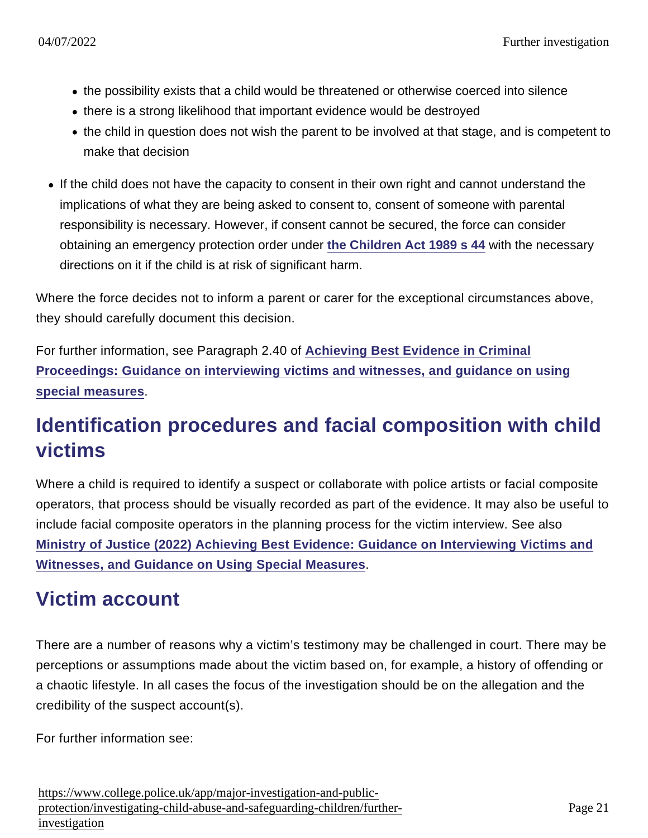- the possibility exists that a child would be threatened or otherwise coerced into silence
- there is a strong likelihood that important evidence would be destroyed
- the child in question does not wish the parent to be involved at that stage, and is competent to make that decision
- If the child does not have the capacity to consent in their own right and cannot understand the implications of what they are being asked to consent to, consent of someone with parental responsibility is necessary. However, if consent cannot be secured, the force can consider obtaining an emergency protection order under [the Children Act 1989 s 44](http://www.legislation.gov.uk/ukpga/1989/41/section/44) with the necessary directions on it if the child is at risk of significant harm.

Where the force decides not to inform a parent or carer for the exceptional circumstances above, they should carefully document this decision.

For further information, see Paragraph 2.40 of [Achieving Best Evidence in Criminal](https://www.gov.uk/government/publications/achieving-best-evidence-in-criminal-proceedings) [Proceedings: Guidance on interviewing victims and witnesses, and guidance on using](https://www.gov.uk/government/publications/achieving-best-evidence-in-criminal-proceedings) [special measures](https://www.gov.uk/government/publications/achieving-best-evidence-in-criminal-proceedings) .

### Identification procedures and facial composition with child victims

Where a child is required to identify a suspect or collaborate with police artists or facial composite operators, that process should be visually recorded as part of the evidence. It may also be useful to include facial composite operators in the planning process for the victim interview. See also [Ministry of Justice \(2022\) Achieving Best Evidence: Guidance on Interviewing Victims and](https://www.gov.uk/government/publications/achieving-best-evidence-in-criminal-proceedings) [Witnesses, and Guidance on Using Special Measures](https://www.gov.uk/government/publications/achieving-best-evidence-in-criminal-proceedings) .

#### Victim account

There are a number of reasons why a victim's testimony may be challenged in court. There may be perceptions or assumptions made about the victim based on, for example, a history of offending or a chaotic lifestyle. In all cases the focus of the investigation should be on the allegation and the credibility of the suspect account(s).

For further information see: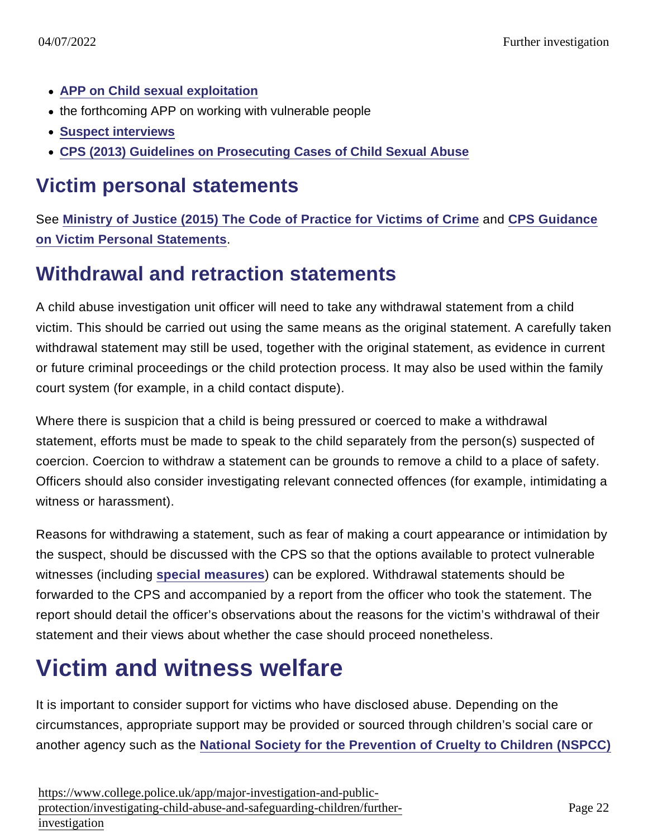- [APP on Child sexual exploitation](https://www.app.college.police.uk/app-content/major-investigation-and-public-protection/child-sexual-exploitation/)
- the forthcoming APP on working with vulnerable people
- [Suspect interviews](https://www.app.college.police.uk/app-content/major-investigation-and-public-protection/child-abuse/further-investigation/#suspect-interviews)
- [CPS \(2013\) Guidelines on Prosecuting Cases of Child Sexual Abuse](http://www.cps.gov.uk/consultations/csa_guidelines_v2.pdf)

#### Victim personal statements

See [Ministry of Justice \(2015\) The Code of Practice for Victims of Crime](https://www.gov.uk/government/uploads/system/uploads/attachment_data/file/470212/code-of-practice-for-victims-of-crime.PDF) and [CPS Guidance](http://www.cps.gov.uk/legal/v_to_z/victim_personal_statements/) [on Victim Personal Statements](http://www.cps.gov.uk/legal/v_to_z/victim_personal_statements/) .

#### Withdrawal and retraction statements

A child abuse investigation unit officer will need to take any withdrawal statement from a child victim. This should be carried out using the same means as the original statement. A carefully taken withdrawal statement may still be used, together with the original statement, as evidence in current or future criminal proceedings or the child protection process. It may also be used within the family court system (for example, in a child contact dispute).

Where there is suspicion that a child is being pressured or coerced to make a withdrawal statement, efforts must be made to speak to the child separately from the person(s) suspected of coercion. Coercion to withdraw a statement can be grounds to remove a child to a place of safety. Officers should also consider investigating relevant connected offences (for example, intimidating a witness or harassment).

Reasons for withdrawing a statement, such as fear of making a court appearance or intimidation by the suspect, should be discussed with the CPS so that the options available to protect vulnerable witnesses (including [special measures](http://www.cps.gov.uk/legal/s_to_u/special_measures/) ) can be explored. Withdrawal statements should be forwarded to the CPS and accompanied by a report from the officer who took the statement. The report should detail the officer's observations about the reasons for the victim's withdrawal of their statement and their views about whether the case should proceed nonetheless.

# Victim and witness welfare

It is important to consider support for victims who have disclosed abuse. Depending on the circumstances, appropriate support may be provided or sourced through children's social care or another agency such as the [National Society for the Prevention of Cruelty to Children \(NSPCC\)](http://www.nspcc.org.uk/)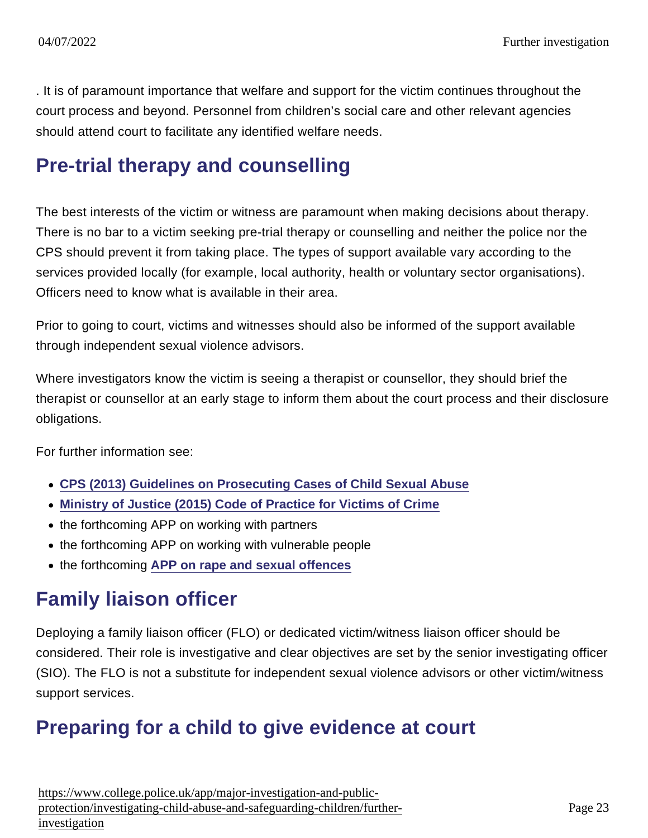. It is of paramount importance that welfare and support for the victim continues throughout the court process and beyond. Personnel from children's social care and other relevant agencies should attend court to facilitate any identified welfare needs.

#### Pre-trial therapy and counselling

The best interests of the victim or witness are paramount when making decisions about therapy. There is no bar to a victim seeking pre-trial therapy or counselling and neither the police nor the CPS should prevent it from taking place. The types of support available vary according to the services provided locally (for example, local authority, health or voluntary sector organisations). Officers need to know what is available in their area.

Prior to going to court, victims and witnesses should also be informed of the support available through independent sexual violence advisors.

Where investigators know the victim is seeing a therapist or counsellor, they should brief the therapist or counsellor at an early stage to inform them about the court process and their disclosure obligations.

For further information see:

- [CPS \(2013\) Guidelines on Prosecuting Cases of Child Sexual Abuse](http://www.cps.gov.uk/consultations/csa_guidelines_v2.pdf)
- [Ministry of Justice \(2015\) Code of Practice for Victims of Crime](https://www.gov.uk/government/uploads/system/uploads/attachment_data/file/470212/code-of-practice-for-victims-of-crime.PDF)
- the forthcoming APP on working with partners
- the forthcoming APP on working with vulnerable people
- the forthcoming [APP on rape and sexual offences](https://www.app.college.police.uk/app-content/major-investigation-and-public-protection/rape-and-sexual-offences/)

#### Family liaison officer

Deploying a family liaison officer (FLO) or dedicated victim/witness liaison officer should be considered. Their role is investigative and clear objectives are set by the senior investigating officer (SIO). The FLO is not a substitute for independent sexual violence advisors or other victim/witness support services.

#### Preparing for a child to give evidence at court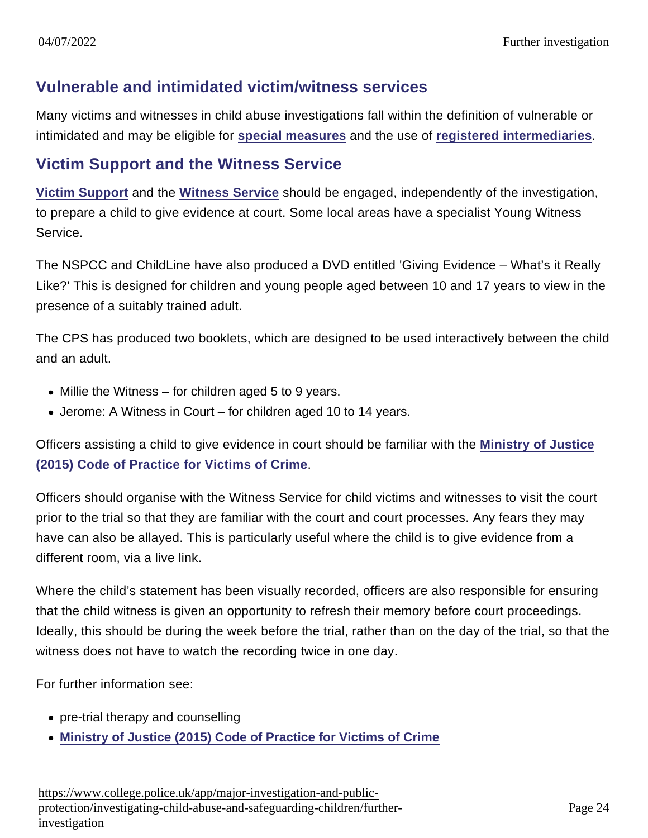#### Vulnerable and intimidated victim/witness services

Many victims and witnesses in child abuse investigations fall within the definition of vulnerable or intimidated and may be eligible for [special measures](http://www.cps.gov.uk/publications/docs/best_evidence_in_criminal_proceedings.pdf) and the use of [registered intermediaries](https://www.app.college.police.uk/app-content/major-investigation-and-public-protection/child-abuse/concern-for-a-child/#interpreters-and-registered-intermediaries) .

#### Victim Support and the Witness Service

[Victim Support](http://www.victimsupport.org.uk/) and the [Witness Service](http://www.victimsupport.org.uk/help-for-witnesses) should be engaged, independently of the investigation, to prepare a child to give evidence at court. Some local areas have a specialist Young Witness Service.

The NSPCC and ChildLine have also produced a DVD entitled 'Giving Evidence – What's it Really Like?' This is designed for children and young people aged between 10 and 17 years to view in the presence of a suitably trained adult.

The CPS has produced two booklets, which are designed to be used interactively between the child and an adult.

- $\bullet$  Millie the Witness for children aged 5 to 9 years.
- Jerome: A Witness in Court for children aged 10 to 14 years.

Officers assisting a child to give evidence in court should be familiar with the [Ministry of Justice](https://www.gov.uk/government/uploads/system/uploads/attachment_data/file/470212/code-of-practice-for-victims-of-crime.PDF) [\(2015\) Code of Practice for Victims of Crime](https://www.gov.uk/government/uploads/system/uploads/attachment_data/file/470212/code-of-practice-for-victims-of-crime.PDF) .

Officers should organise with the Witness Service for child victims and witnesses to visit the court prior to the trial so that they are familiar with the court and court processes. Any fears they may have can also be allayed. This is particularly useful where the child is to give evidence from a different room, via a live link.

Where the child's statement has been visually recorded, officers are also responsible for ensuring that the child witness is given an opportunity to refresh their memory before court proceedings. Ideally, this should be during the week before the trial, rather than on the day of the trial, so that the witness does not have to watch the recording twice in one day.

For further information see:

- pre-trial therapy and counselling
- [Ministry of Justice \(2015\) Code of Practice for Victims of Crime](https://www.gov.uk/government/uploads/system/uploads/attachment_data/file/470212/code-of-practice-for-victims-of-crime.PDF)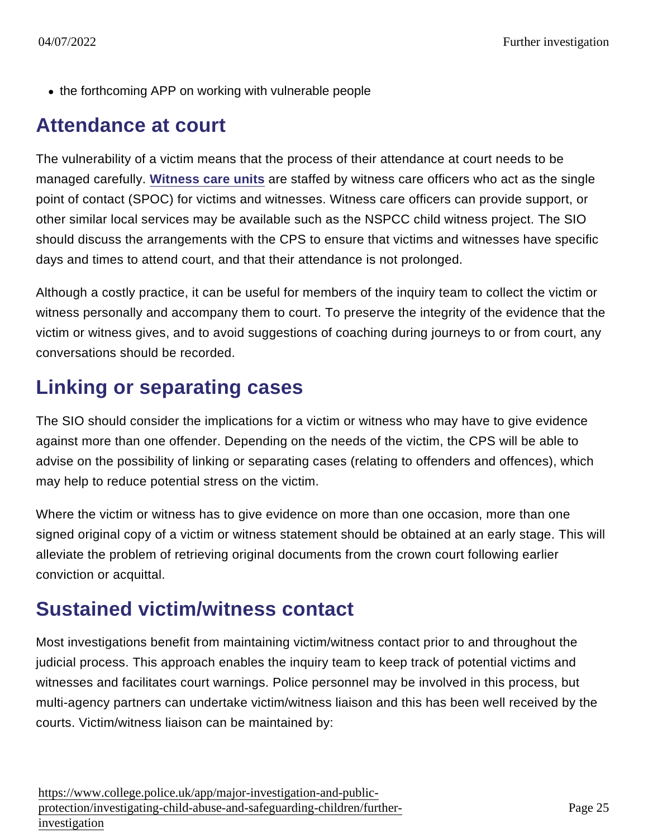• the forthcoming APP on working with vulnerable people

#### Attendance at court

The vulnerability of a victim means that the process of their attendance at court needs to be managed carefully. [Witness care units](https://www.app.college.police.uk/app-content/prosecution-and-case-management/victim-and-witness-care/#witness-care-units) are staffed by witness care officers who act as the single point of contact (SPOC) for victims and witnesses. Witness care officers can provide support, or other similar local services may be available such as the NSPCC child witness project. The SIO should discuss the arrangements with the CPS to ensure that victims and witnesses have specific days and times to attend court, and that their attendance is not prolonged.

Although a costly practice, it can be useful for members of the inquiry team to collect the victim or witness personally and accompany them to court. To preserve the integrity of the evidence that the victim or witness gives, and to avoid suggestions of coaching during journeys to or from court, any conversations should be recorded.

#### Linking or separating cases

The SIO should consider the implications for a victim or witness who may have to give evidence against more than one offender. Depending on the needs of the victim, the CPS will be able to advise on the possibility of linking or separating cases (relating to offenders and offences), which may help to reduce potential stress on the victim.

Where the victim or witness has to give evidence on more than one occasion, more than one signed original copy of a victim or witness statement should be obtained at an early stage. This will alleviate the problem of retrieving original documents from the crown court following earlier conviction or acquittal.

#### Sustained victim/witness contact

Most investigations benefit from maintaining victim/witness contact prior to and throughout the judicial process. This approach enables the inquiry team to keep track of potential victims and witnesses and facilitates court warnings. Police personnel may be involved in this process, but multi-agency partners can undertake victim/witness liaison and this has been well received by the courts. Victim/witness liaison can be maintained by: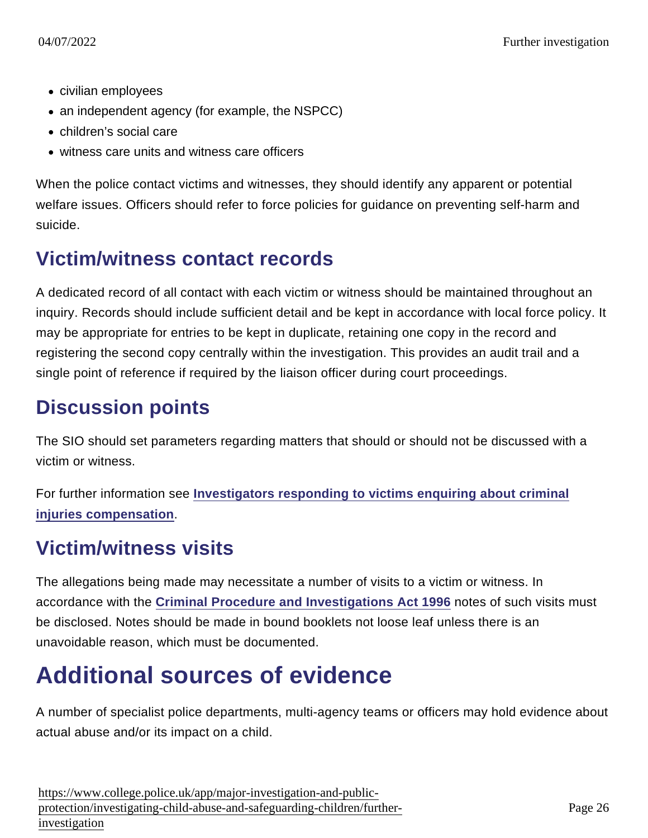- civilian employees
- an independent agency (for example, the NSPCC)
- children's social care
- witness care units and witness care officers

When the police contact victims and witnesses, they should identify any apparent or potential welfare issues. Officers should refer to force policies for guidance on preventing self-harm and suicide.

#### Victim/witness contact records

A dedicated record of all contact with each victim or witness should be maintained throughout an inquiry. Records should include sufficient detail and be kept in accordance with local force policy. It may be appropriate for entries to be kept in duplicate, retaining one copy in the record and registering the second copy centrally within the investigation. This provides an audit trail and a single point of reference if required by the liaison officer during court proceedings.

#### Discussion points

The SIO should set parameters regarding matters that should or should not be discussed with a victim or witness.

For further information see [Investigators responding to victims enquiring about criminal](https://www.app.college.police.uk/app-content/prosecution-and-case-management/victim-and-witness-care/#investigators-responding-to-victims-enquiring-about-criminal-injuries-compensation) [injuries compensation](https://www.app.college.police.uk/app-content/prosecution-and-case-management/victim-and-witness-care/#investigators-responding-to-victims-enquiring-about-criminal-injuries-compensation) .

#### Victim/witness visits

The allegations being made may necessitate a number of visits to a victim or witness. In accordance with the [Criminal Procedure and Investigations Act 1996](http://www.legislation.gov.uk/ukpga/1996/25/contents) notes of such visits must be disclosed. Notes should be made in bound booklets not loose leaf unless there is an unavoidable reason, which must be documented.

# Additional sources of evidence

A number of specialist police departments, multi-agency teams or officers may hold evidence about actual abuse and/or its impact on a child.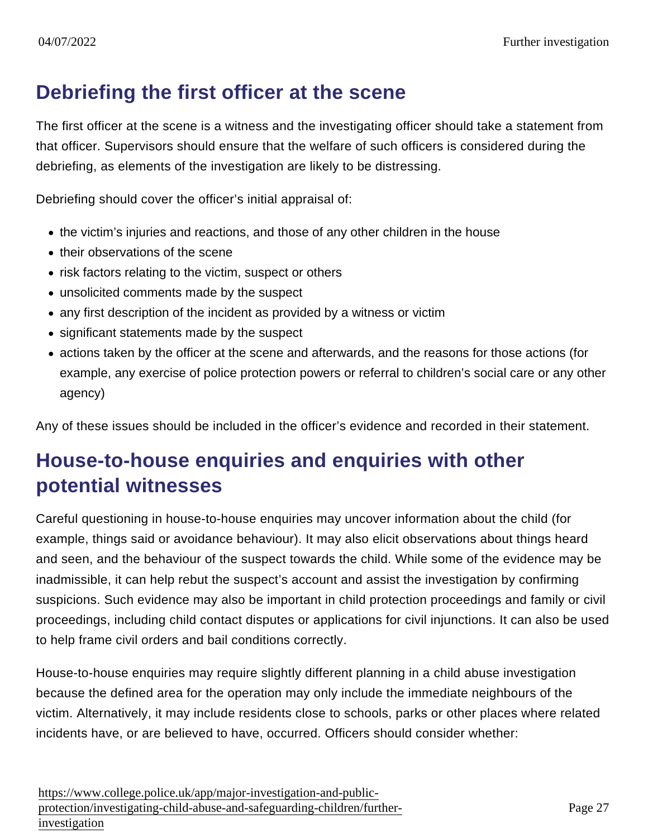#### Debriefing the first officer at the scene

The first officer at the scene is a witness and the investigating officer should take a statement from that officer. Supervisors should ensure that the welfare of such officers is considered during the debriefing, as elements of the investigation are likely to be distressing.

Debriefing should cover the officer's initial appraisal of:

- the victim's injuries and reactions, and those of any other children in the house
- their observations of the scene
- risk factors relating to the victim, suspect or others
- unsolicited comments made by the suspect
- any first description of the incident as provided by a witness or victim
- significant statements made by the suspect
- actions taken by the officer at the scene and afterwards, and the reasons for those actions (for example, any exercise of police protection powers or referral to children's social care or any other agency)

Any of these issues should be included in the officer's evidence and recorded in their statement.

#### House-to-house enquiries and enquiries with other potential witnesses

Careful questioning in house-to-house enquiries may uncover information about the child (for example, things said or avoidance behaviour). It may also elicit observations about things heard and seen, and the behaviour of the suspect towards the child. While some of the evidence may be inadmissible, it can help rebut the suspect's account and assist the investigation by confirming suspicions. Such evidence may also be important in child protection proceedings and family or civil proceedings, including child contact disputes or applications for civil injunctions. It can also be used to help frame civil orders and bail conditions correctly.

House-to-house enquiries may require slightly different planning in a child abuse investigation because the defined area for the operation may only include the immediate neighbours of the victim. Alternatively, it may include residents close to schools, parks or other places where related incidents have, or are believed to have, occurred. Officers should consider whether: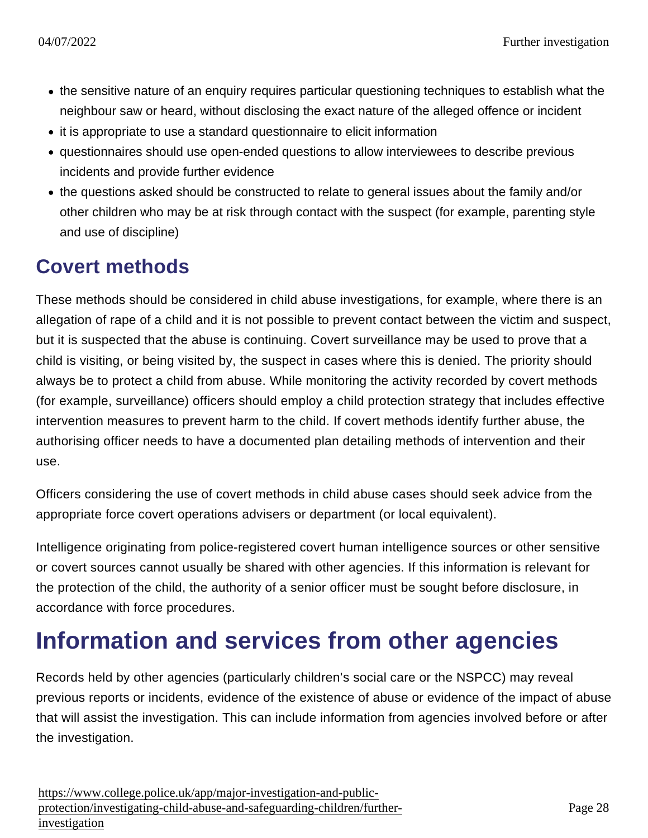- the sensitive nature of an enquiry requires particular questioning techniques to establish what the neighbour saw or heard, without disclosing the exact nature of the alleged offence or incident
- it is appropriate to use a standard questionnaire to elicit information
- questionnaires should use open-ended questions to allow interviewees to describe previous incidents and provide further evidence
- the questions asked should be constructed to relate to general issues about the family and/or other children who may be at risk through contact with the suspect (for example, parenting style and use of discipline)

#### Covert methods

These methods should be considered in child abuse investigations, for example, where there is an allegation of rape of a child and it is not possible to prevent contact between the victim and suspect, but it is suspected that the abuse is continuing. Covert surveillance may be used to prove that a child is visiting, or being visited by, the suspect in cases where this is denied. The priority should always be to protect a child from abuse. While monitoring the activity recorded by covert methods (for example, surveillance) officers should employ a child protection strategy that includes effective intervention measures to prevent harm to the child. If covert methods identify further abuse, the authorising officer needs to have a documented plan detailing methods of intervention and their use.

Officers considering the use of covert methods in child abuse cases should seek advice from the appropriate force covert operations advisers or department (or local equivalent).

Intelligence originating from police-registered covert human intelligence sources or other sensitive or covert sources cannot usually be shared with other agencies. If this information is relevant for the protection of the child, the authority of a senior officer must be sought before disclosure, in accordance with force procedures.

## Information and services from other agencies

Records held by other agencies (particularly children's social care or the NSPCC) may reveal previous reports or incidents, evidence of the existence of abuse or evidence of the impact of abuse that will assist the investigation. This can include information from agencies involved before or after the investigation.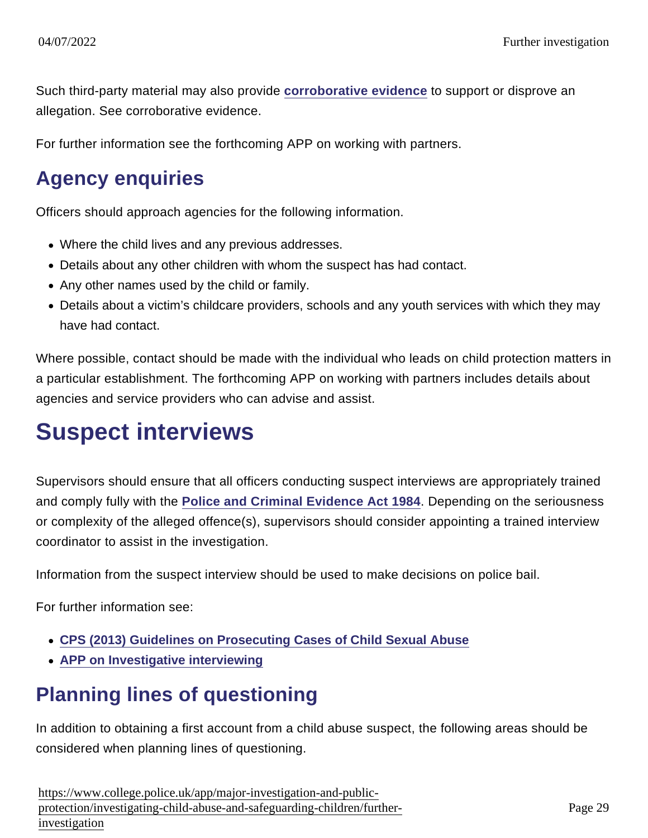Such third-party material may also provide [corroborative evidence](https://www.app.college.police.uk/app-content/major-investigation-and-public-protection/child-abuse/complex-investigations/#corroborative-evidence) to support or disprove an allegation. See corroborative evidence.

For further information see the forthcoming APP on working with partners.

#### Agency enquiries

Officers should approach agencies for the following information.

- Where the child lives and any previous addresses.
- Details about any other children with whom the suspect has had contact.
- Any other names used by the child or family.
- Details about a victim's childcare providers, schools and any youth services with which they may have had contact.

Where possible, contact should be made with the individual who leads on child protection matters in a particular establishment. The forthcoming APP on working with partners includes details about agencies and service providers who can advise and assist.

## Suspect interviews

Supervisors should ensure that all officers conducting suspect interviews are appropriately trained and comply fully with the [Police and Criminal Evidence Act 1984](http://www.legislation.gov.uk/ukpga/1984/60/contents) . Depending on the seriousness or complexity of the alleged offence(s), supervisors should consider appointing a trained interview coordinator to assist in the investigation.

Information from the suspect interview should be used to make decisions on police bail.

For further information see:

- [CPS \(2013\) Guidelines on Prosecuting Cases of Child Sexual Abuse](http://www.cps.gov.uk/consultations/csa_guidelines_v2.pdf)
- [APP on Investigative interviewing](https://www.app.college.police.uk/app-content/investigations/investigative-interviewing/)

## Planning lines of questioning

In addition to obtaining a first account from a child abuse suspect, the following areas should be considered when planning lines of questioning.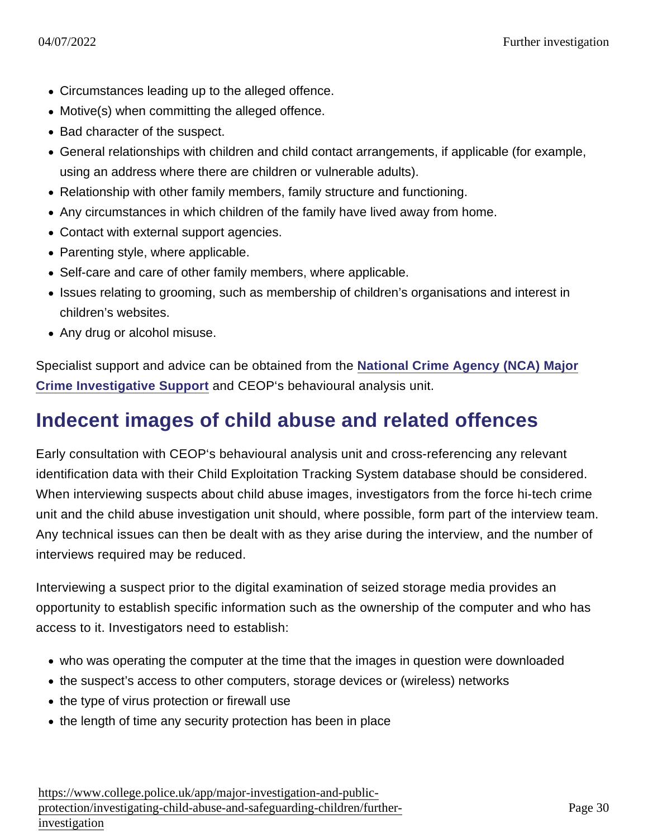- Circumstances leading up to the alleged offence.
- Motive(s) when committing the alleged offence.
- Bad character of the suspect.
- General relationships with children and child contact arrangements, if applicable (for example, using an address where there are children or vulnerable adults).
- Relationship with other family members, family structure and functioning.
- Any circumstances in which children of the family have lived away from home.
- Contact with external support agencies.
- Parenting style, where applicable.
- Self-care and care of other family members, where applicable.
- Issues relating to grooming, such as membership of children's organisations and interest in children's websites.
- Any drug or alcohol misuse.

Specialist support and advice can be obtained from the [National Crime Agency \(NCA\) Major](https://www.nationalcrimeagency.gov.uk/what-we-do/how-we-work/providing-specialist-capabilities-for-law-enforcement/major-crime-investigative-support) [Crime Investigative Support](https://www.nationalcrimeagency.gov.uk/what-we-do/how-we-work/providing-specialist-capabilities-for-law-enforcement/major-crime-investigative-support) and CEOP's behavioural analysis unit.

#### Indecent images of child abuse and related offences

Early consultation with CEOP's behavioural analysis unit and cross-referencing any relevant identification data with their Child Exploitation Tracking System database should be considered. When interviewing suspects about child abuse images, investigators from the force hi-tech crime unit and the child abuse investigation unit should, where possible, form part of the interview team. Any technical issues can then be dealt with as they arise during the interview, and the number of interviews required may be reduced.

Interviewing a suspect prior to the digital examination of seized storage media provides an opportunity to establish specific information such as the ownership of the computer and who has access to it. Investigators need to establish:

- who was operating the computer at the time that the images in question were downloaded
- the suspect's access to other computers, storage devices or (wireless) networks
- the type of virus protection or firewall use
- the length of time any security protection has been in place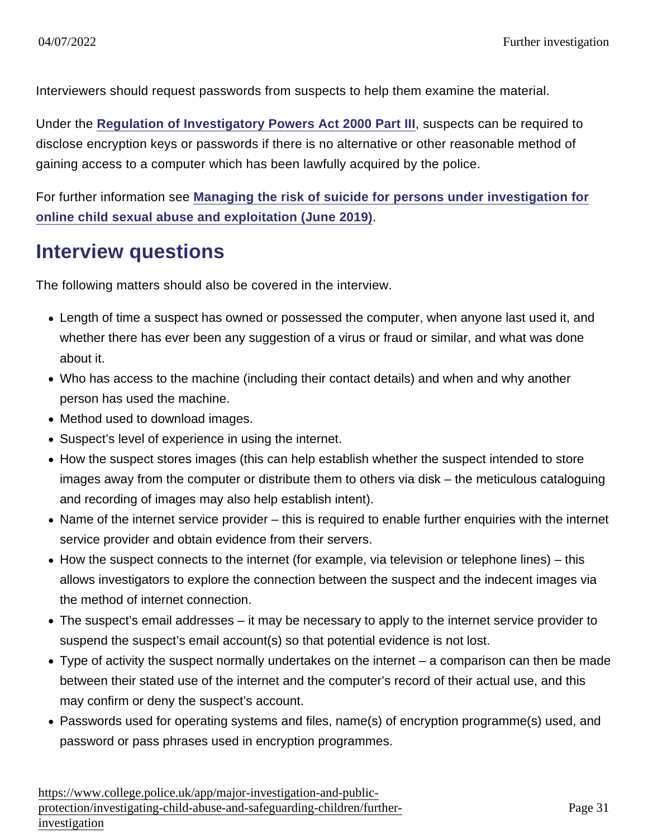Interviewers should request passwords from suspects to help them examine the material.

Under the [Regulation of Investigatory Powers Act 2000 Part III](http://www.legislation.gov.uk/ukpga/2000/23/part/III) , suspects can be required to disclose encryption keys or passwords if there is no alternative or other reasonable method of gaining access to a computer which has been lawfully acquired by the police.

For further information see [Managing the risk of suicide for persons under investigation for](https://library.college.police.uk/docs/appref/Suicide-Risk-Operational-Advice-Final.pdf) [online child sexual abuse and exploitation \(June 2019\)](https://library.college.police.uk/docs/appref/Suicide-Risk-Operational-Advice-Final.pdf) .

#### Interview questions

The following matters should also be covered in the interview.

- Length of time a suspect has owned or possessed the computer, when anyone last used it, and whether there has ever been any suggestion of a virus or fraud or similar, and what was done about it.
- Who has access to the machine (including their contact details) and when and why another person has used the machine.
- Method used to download images.
- Suspect's level of experience in using the internet.
- How the suspect stores images (this can help establish whether the suspect intended to store images away from the computer or distribute them to others via disk – the meticulous cataloguing and recording of images may also help establish intent).
- Name of the internet service provider this is required to enable further enquiries with the internet service provider and obtain evidence from their servers.
- How the suspect connects to the internet (for example, via television or telephone lines) this allows investigators to explore the connection between the suspect and the indecent images via the method of internet connection.
- The suspect's email addresses it may be necessary to apply to the internet service provider to suspend the suspect's email account(s) so that potential evidence is not lost.
- Type of activity the suspect normally undertakes on the internet a comparison can then be made between their stated use of the internet and the computer's record of their actual use, and this may confirm or deny the suspect's account.
- Passwords used for operating systems and files, name(s) of encryption programme(s) used, and password or pass phrases used in encryption programmes.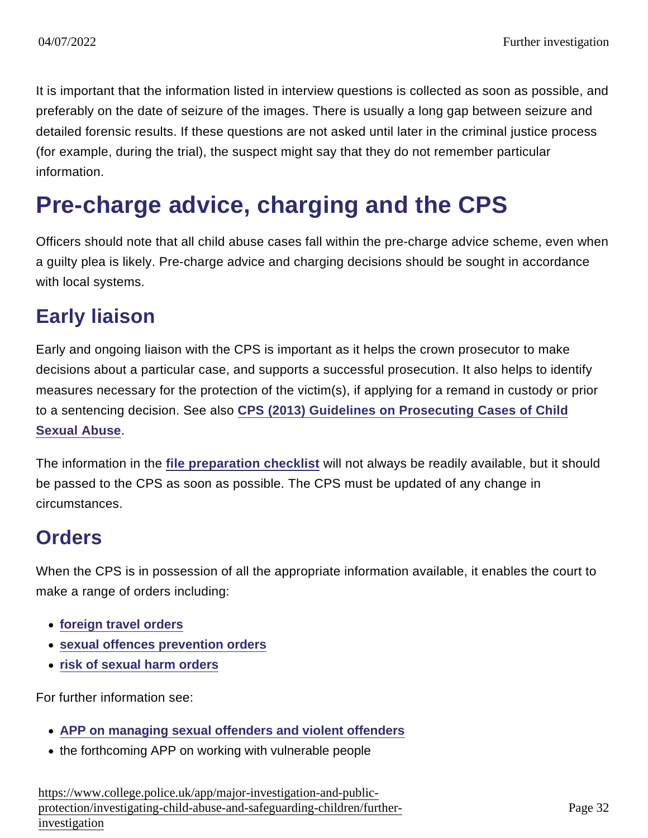It is important that the information listed in interview questions is collected as soon as possible, and preferably on the date of seizure of the images. There is usually a long gap between seizure and detailed forensic results. If these questions are not asked until later in the criminal justice process (for example, during the trial), the suspect might say that they do not remember particular information.

## Pre-charge advice, charging and the CPS

Officers should note that all child abuse cases fall within the pre-charge advice scheme, even when a guilty plea is likely. Pre-charge advice and charging decisions should be sought in accordance with local systems.

#### Early liaison

Early and ongoing liaison with the CPS is important as it helps the crown prosecutor to make decisions about a particular case, and supports a successful prosecution. It also helps to identify measures necessary for the protection of the victim(s), if applying for a remand in custody or prior to a sentencing decision. See also [CPS \(2013\) Guidelines on Prosecuting Cases of Child](http://www.cps.gov.uk/consultations/csa_guidelines_v2.pdf) [Sexual Abuse](http://www.cps.gov.uk/consultations/csa_guidelines_v2.pdf) .

The information in the [file preparation checklist](https://www.app.college.police.uk/app-content/major-investigation-and-public-protection/child-abuse/further-investigation/#file-preparation-checklist) will not always be readily available, but it should be passed to the CPS as soon as possible. The CPS must be updated of any change in circumstances.

#### **Orders**

When the CPS is in possession of all the appropriate information available, it enables the court to make a range of orders including:

- [foreign travel orders](http://www.legislation.gov.uk/ukpga/2003/42/part/2/crossheading/foreign-travel-orders)
- [sexual offences prevention orders](http://www.legislation.gov.uk/ukpga/2003/42/part/2/crossheading/sexual-offences-prevention-orders)
- [risk of sexual harm orders](http://www.legislation.gov.uk/ukpga/2003/42/part/2/crossheading/risk-of-sexual-harm-orders)

For further information see:

- [APP on managing sexual offenders and violent offenders](https://www.app.college.police.uk/app-content/major-investigation-and-public-protection/managing-sexual-offenders-and-violent-offenders/)
- the forthcoming APP on working with vulnerable people

[https://www.college.police.uk/app/major-investigation-and-pu](https://www.college.police.uk/app/major-investigation-and-public-protection/investigating-child-abuse-and-safeguarding-children/further-investigation)blic[protection/investigating-child-abuse-and-safeguarding-children/fu](https://www.college.police.uk/app/major-investigation-and-public-protection/investigating-child-abuse-and-safeguarding-children/further-investigation)rther[investigation](https://www.college.police.uk/app/major-investigation-and-public-protection/investigating-child-abuse-and-safeguarding-children/further-investigation)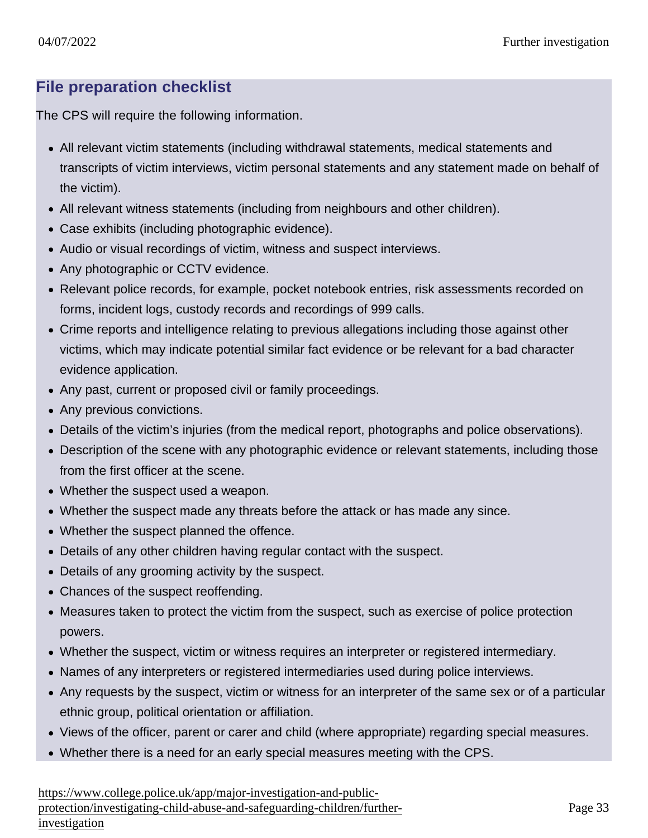#### File preparation checklist

The CPS will require the following information.

- All relevant victim statements (including withdrawal statements, medical statements and transcripts of victim interviews, victim personal statements and any statement made on behalf of the victim).
- All relevant witness statements (including from neighbours and other children).
- Case exhibits (including photographic evidence).
- Audio or visual recordings of victim, witness and suspect interviews.
- Any photographic or CCTV evidence.
- Relevant police records, for example, pocket notebook entries, risk assessments recorded on forms, incident logs, custody records and recordings of 999 calls.
- Crime reports and intelligence relating to previous allegations including those against other victims, which may indicate potential similar fact evidence or be relevant for a bad character evidence application.
- Any past, current or proposed civil or family proceedings.
- Any previous convictions.
- Details of the victim's injuries (from the medical report, photographs and police observations).
- Description of the scene with any photographic evidence or relevant statements, including those from the first officer at the scene.
- Whether the suspect used a weapon.
- Whether the suspect made any threats before the attack or has made any since.
- Whether the suspect planned the offence.
- Details of any other children having regular contact with the suspect.
- Details of any grooming activity by the suspect.
- Chances of the suspect reoffending.
- Measures taken to protect the victim from the suspect, such as exercise of police protection powers.
- Whether the suspect, victim or witness requires an interpreter or registered intermediary.
- Names of any interpreters or registered intermediaries used during police interviews.
- Any requests by the suspect, victim or witness for an interpreter of the same sex or of a particular ethnic group, political orientation or affiliation.
- Views of the officer, parent or carer and child (where appropriate) regarding special measures.
- Whether there is a need for an early special measures meeting with the CPS.

[https://www.college.police.uk/app/major-investigation-and-pu](https://www.college.police.uk/app/major-investigation-and-public-protection/investigating-child-abuse-and-safeguarding-children/further-investigation)blic[protection/investigating-child-abuse-and-safeguarding-children/fu](https://www.college.police.uk/app/major-investigation-and-public-protection/investigating-child-abuse-and-safeguarding-children/further-investigation)rther[investigation](https://www.college.police.uk/app/major-investigation-and-public-protection/investigating-child-abuse-and-safeguarding-children/further-investigation)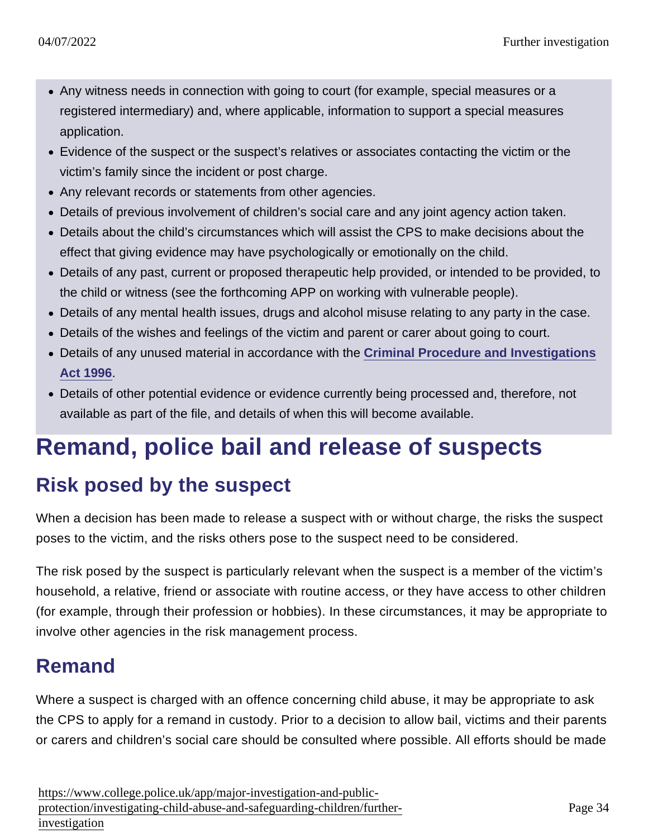- Any witness needs in connection with going to court (for example, special measures or a registered intermediary) and, where applicable, information to support a special measures application.
- Evidence of the suspect or the suspect's relatives or associates contacting the victim or the victim's family since the incident or post charge.
- Any relevant records or statements from other agencies.
- Details of previous involvement of children's social care and any joint agency action taken.
- Details about the child's circumstances which will assist the CPS to make decisions about the effect that giving evidence may have psychologically or emotionally on the child.
- Details of any past, current or proposed therapeutic help provided, or intended to be provided, to the child or witness (see the forthcoming APP on working with vulnerable people).
- Details of any mental health issues, drugs and alcohol misuse relating to any party in the case.
- Details of the wishes and feelings of the victim and parent or carer about going to court.
- Details of any unused material in accordance with the [Criminal Procedure and Investigations](http://www.legislation.gov.uk/ukpga/1996/25/contents) [Act 1996](http://www.legislation.gov.uk/ukpga/1996/25/contents) .
- Details of other potential evidence or evidence currently being processed and, therefore, not available as part of the file, and details of when this will become available.

# Remand, police bail and release of suspects

### Risk posed by the suspect

When a decision has been made to release a suspect with or without charge, the risks the suspect poses to the victim, and the risks others pose to the suspect need to be considered.

The risk posed by the suspect is particularly relevant when the suspect is a member of the victim's household, a relative, friend or associate with routine access, or they have access to other children (for example, through their profession or hobbies). In these circumstances, it may be appropriate to involve other agencies in the risk management process.

## Remand

Where a suspect is charged with an offence concerning child abuse, it may be appropriate to ask the CPS to apply for a remand in custody. Prior to a decision to allow bail, victims and their parents or carers and children's social care should be consulted where possible. All efforts should be made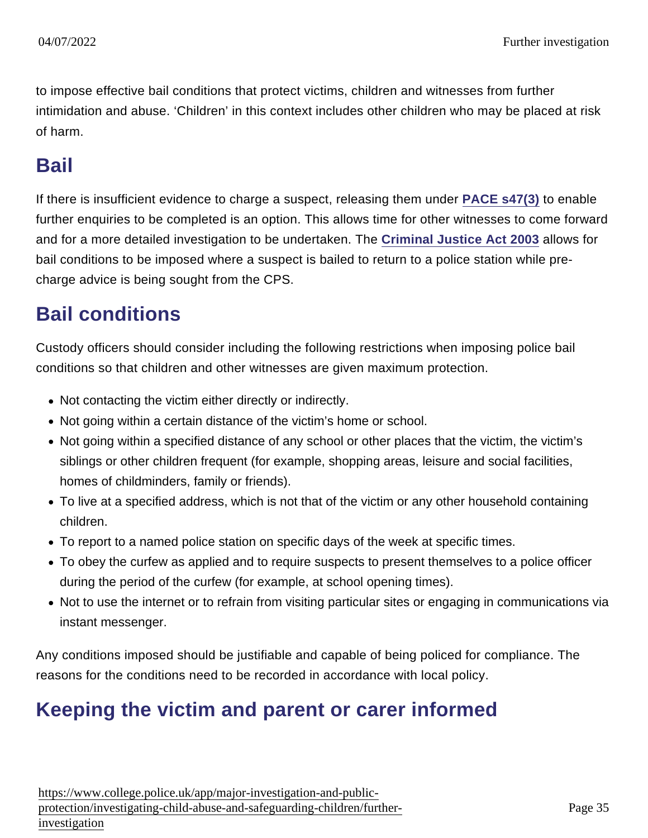to impose effective bail conditions that protect victims, children and witnesses from further intimidation and abuse. 'Children' in this context includes other children who may be placed at risk of harm.

#### Bail

If there is insufficient evidence to charge a suspect, releasing them under [PACE s47\(3\)](http://www.legislation.gov.uk/ukpga/1984/60/section/47) to enable further enquiries to be completed is an option. This allows time for other witnesses to come forward and for a more detailed investigation to be undertaken. The [Criminal Justice Act 2003](http://www.legislation.gov.uk/ukpga/2003/44/part/2) allows for bail conditions to be imposed where a suspect is bailed to return to a police station while precharge advice is being sought from the CPS.

#### Bail conditions

Custody officers should consider including the following restrictions when imposing police bail conditions so that children and other witnesses are given maximum protection.

- Not contacting the victim either directly or indirectly.
- Not going within a certain distance of the victim's home or school.
- Not going within a specified distance of any school or other places that the victim, the victim's siblings or other children frequent (for example, shopping areas, leisure and social facilities, homes of childminders, family or friends).
- To live at a specified address, which is not that of the victim or any other household containing children.
- To report to a named police station on specific days of the week at specific times.
- To obey the curfew as applied and to require suspects to present themselves to a police officer during the period of the curfew (for example, at school opening times).
- Not to use the internet or to refrain from visiting particular sites or engaging in communications via instant messenger.

Any conditions imposed should be justifiable and capable of being policed for compliance. The reasons for the conditions need to be recorded in accordance with local policy.

#### Keeping the victim and parent or carer informed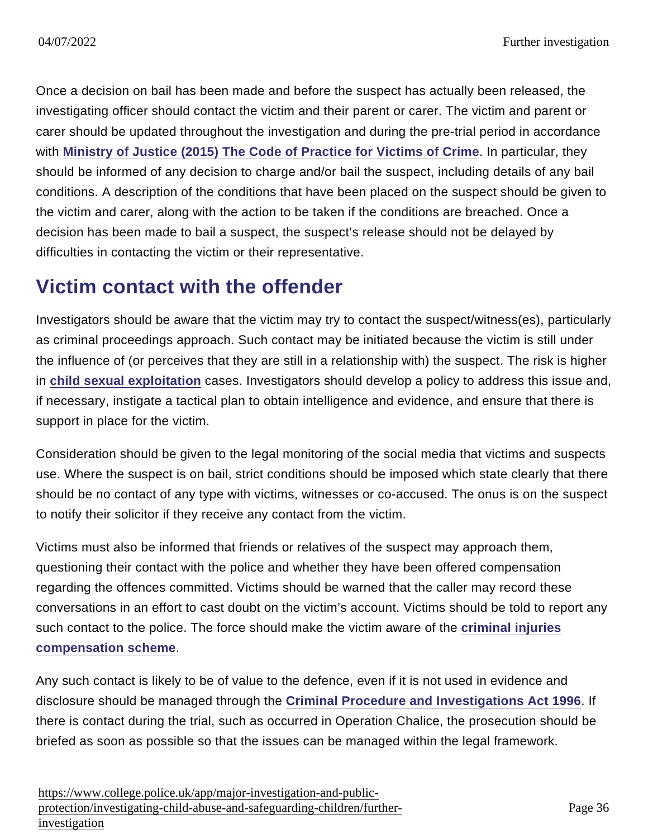Once a decision on bail has been made and before the suspect has actually been released, the investigating officer should contact the victim and their parent or carer. The victim and parent or carer should be updated throughout the investigation and during the pre-trial period in accordance with [Ministry of Justice \(2015\) The Code of Practice for Victims of Crime](https://www.gov.uk/government/uploads/system/uploads/attachment_data/file/470212/code-of-practice-for-victims-of-crime.PDF) . In particular, they should be informed of any decision to charge and/or bail the suspect, including details of any bail conditions. A description of the conditions that have been placed on the suspect should be given to the victim and carer, along with the action to be taken if the conditions are breached. Once a decision has been made to bail a suspect, the suspect's release should not be delayed by difficulties in contacting the victim or their representative.

### Victim contact with the offender

Investigators should be aware that the victim may try to contact the suspect/witness(es), particularly as criminal proceedings approach. Such contact may be initiated because the victim is still under the influence of (or perceives that they are still in a relationship with) the suspect. The risk is higher in [child sexual exploitation](https://www.app.college.police.uk/app-content/major-investigation-and-public-protection/child-sexual-exploitation/) cases. Investigators should develop a policy to address this issue and, if necessary, instigate a tactical plan to obtain intelligence and evidence, and ensure that there is support in place for the victim.

Consideration should be given to the legal monitoring of the social media that victims and suspects use. Where the suspect is on bail, strict conditions should be imposed which state clearly that there should be no contact of any type with victims, witnesses or co-accused. The onus is on the suspect to notify their solicitor if they receive any contact from the victim.

Victims must also be informed that friends or relatives of the suspect may approach them, questioning their contact with the police and whether they have been offered compensation regarding the offences committed. Victims should be warned that the caller may record these conversations in an effort to cast doubt on the victim's account. Victims should be told to report any such contact to the police. The force should make the victim aware of the [criminal injuries](https://www.app.college.police.uk/app-content/prosecution-and-case-management/victim-and-witness-care/#compensation) [compensation scheme](https://www.app.college.police.uk/app-content/prosecution-and-case-management/victim-and-witness-care/#compensation) .

Any such contact is likely to be of value to the defence, even if it is not used in evidence and disclosure should be managed through the [Criminal Procedure and Investigations Act 1996](http://www.legislation.gov.uk/ukpga/2003/44/part/5) . If there is contact during the trial, such as occurred in Operation Chalice, the prosecution should be briefed as soon as possible so that the issues can be managed within the legal framework.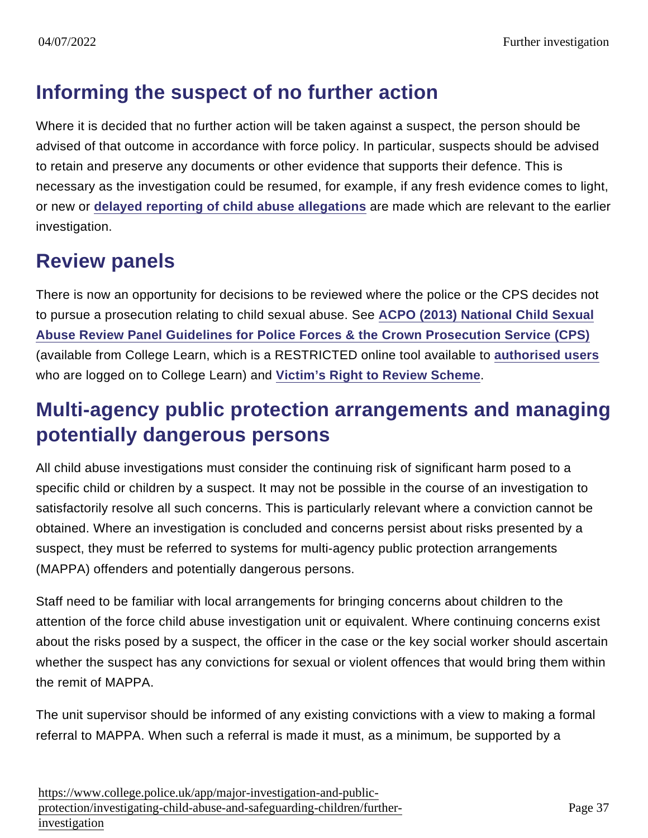### Informing the suspect of no further action

Where it is decided that no further action will be taken against a suspect, the person should be advised of that outcome in accordance with force policy. In particular, suspects should be advised to retain and preserve any documents or other evidence that supports their defence. This is necessary as the investigation could be resumed, for example, if any fresh evidence comes to light, or new or [delayed reporting of child abuse allegations](https://www.app.college.police.uk/app-content/major-investigation-and-public-protection/child-abuse/police-response/risk-and-associated-investigations/#delayed-reporting-of-child-abuse-allegations) are made which are relevant to the earlier investigation.

#### Review panels

There is now an opportunity for decisions to be reviewed where the police or the CPS decides not to pursue a prosecution relating to child sexual abuse. See [ACPO \(2013\) National Child Sexual](https://www.learn.college.pnn.police.uk/CL/Content/Summary/35368) [Abuse Review Panel Guidelines for Police Forces & the Crown Prosecution Service \(CPS\)](https://www.learn.college.pnn.police.uk/CL/Content/Summary/35368) (available from College Learn, which is a RESTRICTED online tool available to [authorised users](https://www.learn.college.pnn.police.uk/CL/Content/Summary/35368) who are logged on to College Learn) and [Victim's Right to Review Scheme](https://www.app.college.police.uk/app-content/major-investigation-and-public-protection/child-abuse/complex-investigations/#victims-right-to-review-scheme) .

#### Multi-agency public protection arrangements and managing potentially dangerous persons

All child abuse investigations must consider the continuing risk of significant harm posed to a specific child or children by a suspect. It may not be possible in the course of an investigation to satisfactorily resolve all such concerns. This is particularly relevant where a conviction cannot be obtained. Where an investigation is concluded and concerns persist about risks presented by a suspect, they must be referred to systems for multi-agency public protection arrangements (MAPPA) offenders and potentially dangerous persons.

Staff need to be familiar with local arrangements for bringing concerns about children to the attention of the force child abuse investigation unit or equivalent. Where continuing concerns exist about the risks posed by a suspect, the officer in the case or the key social worker should ascertain whether the suspect has any convictions for sexual or violent offences that would bring them within the remit of MAPPA.

The unit supervisor should be informed of any existing convictions with a view to making a formal referral to MAPPA. When such a referral is made it must, as a minimum, be supported by a